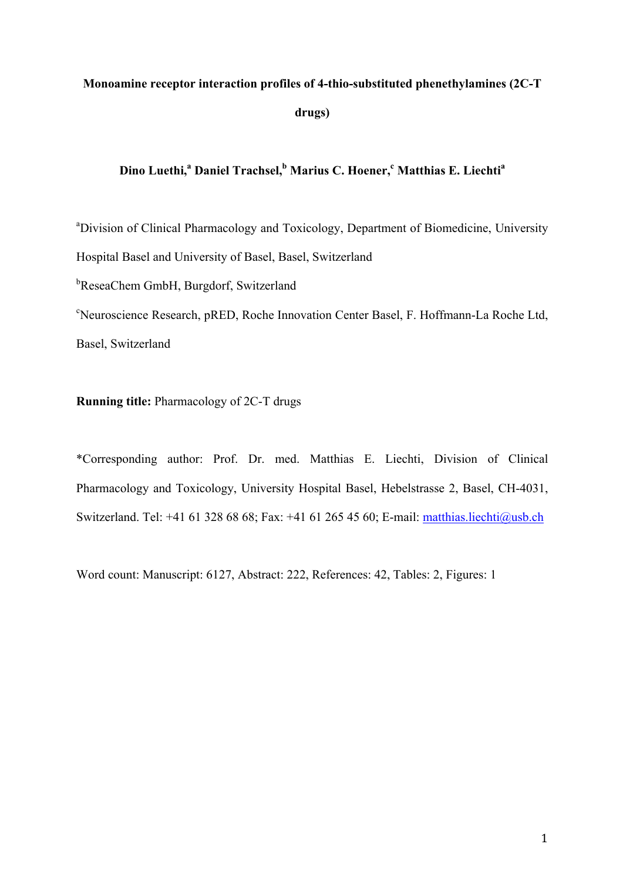# **Monoamine receptor interaction profiles of 4-thio-substituted phenethylamines (2C-T drugs)**

# **Dino Luethi, <sup>a</sup> Daniel Trachsel, <sup>b</sup> Marius C. Hoener, <sup>c</sup> Matthias E. Liechtia**

<sup>a</sup>Division of Clinical Pharmacology and Toxicology, Department of Biomedicine, University Hospital Basel and University of Basel, Basel, Switzerland <sup>b</sup>ReseaChem GmbH, Burgdorf, Switzerland

c Neuroscience Research, pRED, Roche Innovation Center Basel, F. Hoffmann-La Roche Ltd, Basel, Switzerland

# **Running title:** Pharmacology of 2C-T drugs

\*Corresponding author: Prof. Dr. med. Matthias E. Liechti, Division of Clinical Pharmacology and Toxicology, University Hospital Basel, Hebelstrasse 2, Basel, CH-4031, Switzerland. Tel: +41 61 328 68 68; Fax: +41 61 265 45 60; E-mail: matthias.liechti@usb.ch

Word count: Manuscript: 6127, Abstract: 222, References: 42, Tables: 2, Figures: 1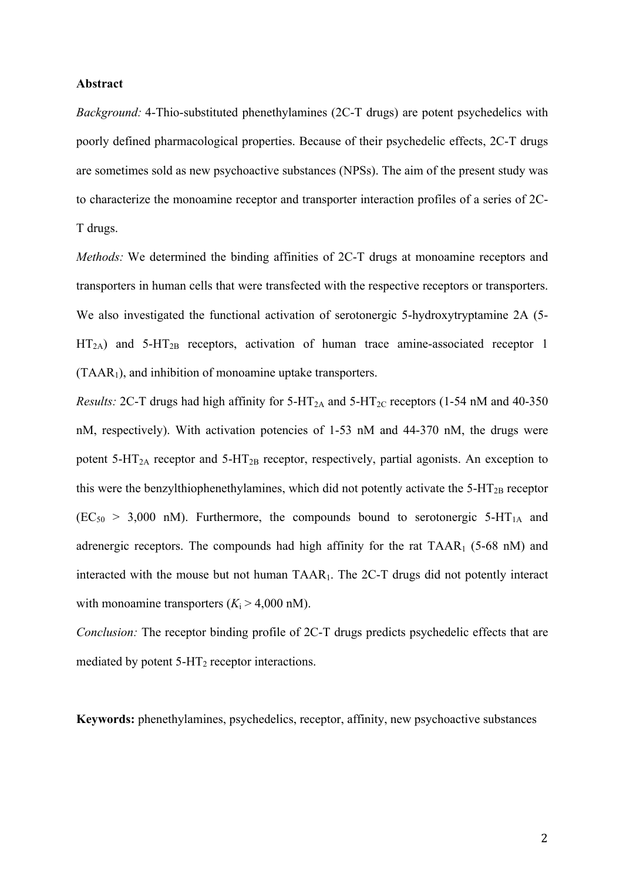### **Abstract**

*Background:* 4-Thio-substituted phenethylamines (2C-T drugs) are potent psychedelics with poorly defined pharmacological properties. Because of their psychedelic effects, 2C-T drugs are sometimes sold as new psychoactive substances (NPSs). The aim of the present study was to characterize the monoamine receptor and transporter interaction profiles of a series of 2C-T drugs.

*Methods:* We determined the binding affinities of 2C-T drugs at monoamine receptors and transporters in human cells that were transfected with the respective receptors or transporters. We also investigated the functional activation of serotonergic 5-hydroxytryptamine 2A (5-  $HT<sub>2A</sub>$ ) and 5-HT<sub>2B</sub> receptors, activation of human trace amine-associated receptor 1 (TAAR1), and inhibition of monoamine uptake transporters.

*Results:* 2C-T drugs had high affinity for  $5-HT_{2A}$  and  $5-HT_{2C}$  receptors (1-54 nM and 40-350 nM, respectively). With activation potencies of 1-53 nM and 44-370 nM, the drugs were potent  $5-HT_{2A}$  receptor and  $5-HT_{2B}$  receptor, respectively, partial agonists. An exception to this were the benzylthiophenethylamines, which did not potently activate the  $5-HT_{2B}$  receptor  $(EC<sub>50</sub> > 3,000 nM)$ . Furthermore, the compounds bound to serotonergic 5-HT<sub>1A</sub> and adrenergic receptors. The compounds had high affinity for the rat  $TAAR_1$  (5-68 nM) and interacted with the mouse but not human TAAR1. The 2C-T drugs did not potently interact with monoamine transporters  $(K<sub>i</sub> > 4,000$  nM).

*Conclusion:* The receptor binding profile of 2C-T drugs predicts psychedelic effects that are mediated by potent  $5-\text{HT}_2$  receptor interactions.

**Keywords:** phenethylamines, psychedelics, receptor, affinity, new psychoactive substances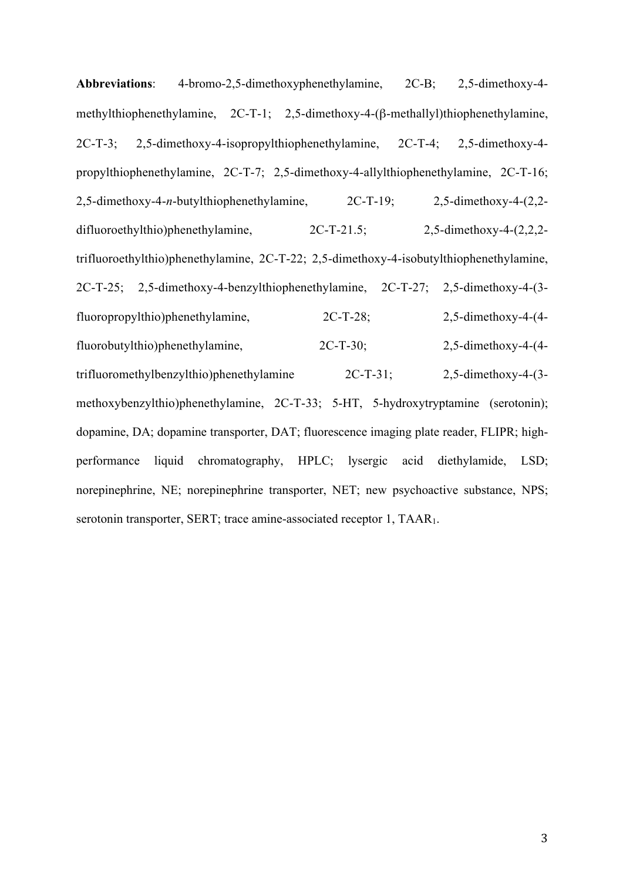**Abbreviations**: 4-bromo-2,5-dimethoxyphenethylamine, 2C-B; 2,5-dimethoxy-4 methylthiophenethylamine, 2C-T-1; 2,5-dimethoxy-4-(β-methallyl)thiophenethylamine, 2C-T-3; 2,5-dimethoxy-4-isopropylthiophenethylamine, 2C-T-4; 2,5-dimethoxy-4 propylthiophenethylamine, 2C-T-7; 2,5-dimethoxy-4-allylthiophenethylamine, 2C-T-16; 2,5-dimethoxy-4-*n*-butylthiophenethylamine, 2C-T-19; 2,5-dimethoxy-4-(2,2 difluoroethylthio)phenethylamine, 2C-T-21.5; 2,5-dimethoxy-4-(2,2,2 trifluoroethylthio)phenethylamine, 2C-T-22; 2,5-dimethoxy-4-isobutylthiophenethylamine, 2C-T-25; 2,5-dimethoxy-4-benzylthiophenethylamine, 2C-T-27; 2,5-dimethoxy-4-(3 fluoropropylthio)phenethylamine, 2C-T-28; 2,5-dimethoxy-4-(4 fluorobutylthio)phenethylamine, 2C-T-30; 2,5-dimethoxy-4-(4 trifluoromethylbenzylthio)phenethylamine 2C-T-31; 2,5-dimethoxy-4-(3 methoxybenzylthio)phenethylamine, 2C-T-33; 5-HT, 5-hydroxytryptamine (serotonin); dopamine, DA; dopamine transporter, DAT; fluorescence imaging plate reader, FLIPR; highperformance liquid chromatography, HPLC; lysergic acid diethylamide, LSD; norepinephrine, NE; norepinephrine transporter, NET; new psychoactive substance, NPS; serotonin transporter, SERT; trace amine-associated receptor 1, TAAR<sub>1</sub>.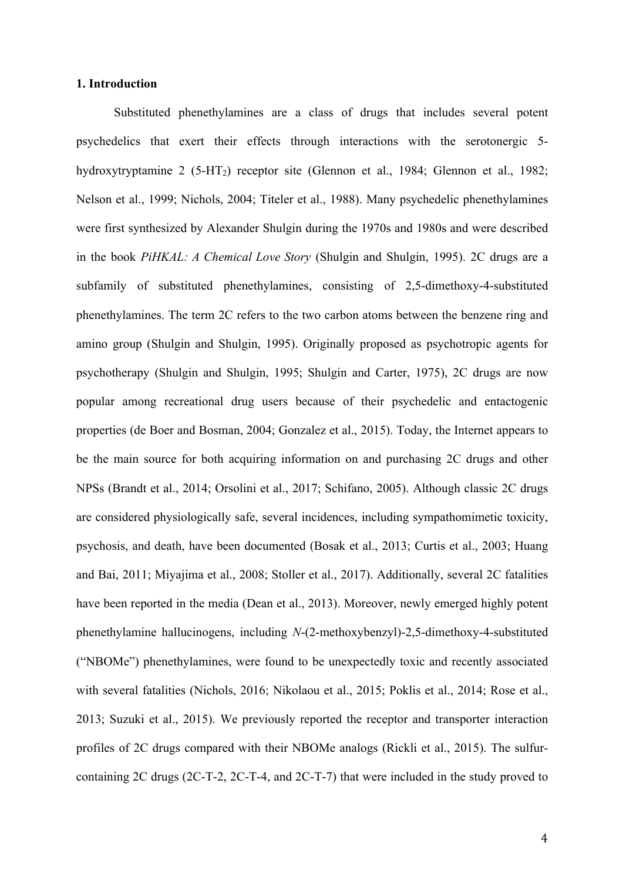#### **1. Introduction**

Substituted phenethylamines are a class of drugs that includes several potent psychedelics that exert their effects through interactions with the serotonergic 5 hydroxytryptamine 2  $(5-HT_2)$  receptor site (Glennon et al., 1984; Glennon et al., 1982; Nelson et al., 1999; Nichols, 2004; Titeler et al., 1988). Many psychedelic phenethylamines were first synthesized by Alexander Shulgin during the 1970s and 1980s and were described in the book *PiHKAL: A Chemical Love Story* (Shulgin and Shulgin, 1995). 2C drugs are a subfamily of substituted phenethylamines, consisting of 2,5-dimethoxy-4-substituted phenethylamines. The term 2C refers to the two carbon atoms between the benzene ring and amino group (Shulgin and Shulgin, 1995). Originally proposed as psychotropic agents for psychotherapy (Shulgin and Shulgin, 1995; Shulgin and Carter, 1975), 2C drugs are now popular among recreational drug users because of their psychedelic and entactogenic properties (de Boer and Bosman, 2004; Gonzalez et al., 2015). Today, the Internet appears to be the main source for both acquiring information on and purchasing 2C drugs and other NPSs (Brandt et al., 2014; Orsolini et al., 2017; Schifano, 2005). Although classic 2C drugs are considered physiologically safe, several incidences, including sympathomimetic toxicity, psychosis, and death, have been documented (Bosak et al., 2013; Curtis et al., 2003; Huang and Bai, 2011; Miyajima et al., 2008; Stoller et al., 2017). Additionally, several 2C fatalities have been reported in the media (Dean et al., 2013). Moreover, newly emerged highly potent phenethylamine hallucinogens, including *N*-(2-methoxybenzyl)-2,5-dimethoxy-4-substituted ("NBOMe") phenethylamines, were found to be unexpectedly toxic and recently associated with several fatalities (Nichols, 2016; Nikolaou et al., 2015; Poklis et al., 2014; Rose et al., 2013; Suzuki et al., 2015). We previously reported the receptor and transporter interaction profiles of 2C drugs compared with their NBOMe analogs (Rickli et al., 2015). The sulfurcontaining 2C drugs (2C-T-2, 2C-T-4, and 2C-T-7) that were included in the study proved to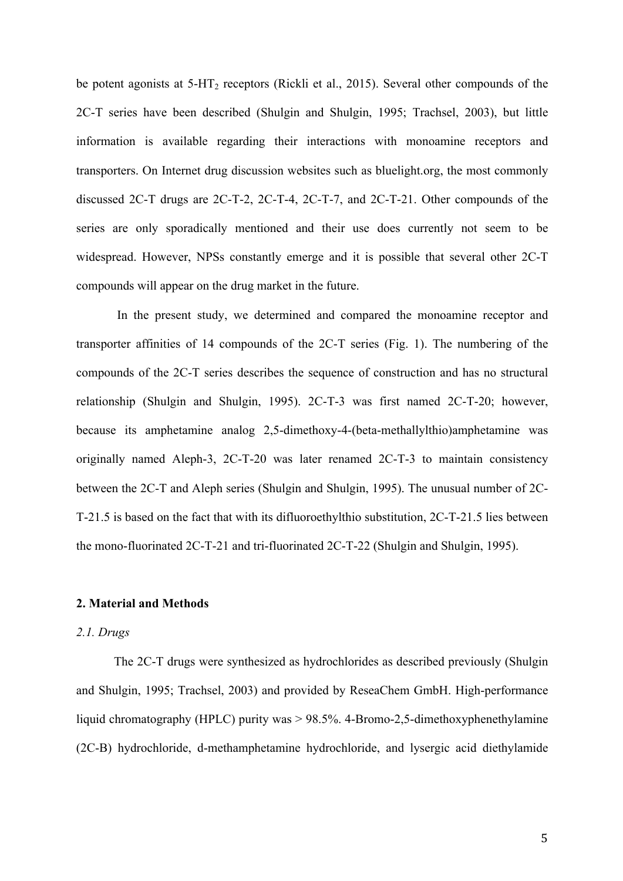be potent agonists at  $5-\text{HT}_2$  receptors (Rickli et al., 2015). Several other compounds of the 2C-T series have been described (Shulgin and Shulgin, 1995; Trachsel, 2003), but little information is available regarding their interactions with monoamine receptors and transporters. On Internet drug discussion websites such as bluelight.org, the most commonly discussed 2C-T drugs are 2C-T-2, 2C-T-4, 2C-T-7, and 2C-T-21. Other compounds of the series are only sporadically mentioned and their use does currently not seem to be widespread. However, NPSs constantly emerge and it is possible that several other 2C-T compounds will appear on the drug market in the future.

In the present study, we determined and compared the monoamine receptor and transporter affinities of 14 compounds of the 2C-T series (Fig. 1). The numbering of the compounds of the 2C-T series describes the sequence of construction and has no structural relationship (Shulgin and Shulgin, 1995). 2C-T-3 was first named 2C-T-20; however, because its amphetamine analog 2,5-dimethoxy-4-(beta-methallylthio)amphetamine was originally named Aleph-3, 2C-T-20 was later renamed 2C-T-3 to maintain consistency between the 2C-T and Aleph series (Shulgin and Shulgin, 1995). The unusual number of 2C-T-21.5 is based on the fact that with its difluoroethylthio substitution, 2C-T-21.5 lies between the mono-fluorinated 2C-T-21 and tri-fluorinated 2C-T-22 (Shulgin and Shulgin, 1995).

# **2. Material and Methods**

#### *2.1. Drugs*

The 2C-T drugs were synthesized as hydrochlorides as described previously (Shulgin and Shulgin, 1995; Trachsel, 2003) and provided by ReseaChem GmbH. High-performance liquid chromatography (HPLC) purity was > 98.5%. 4-Bromo-2,5-dimethoxyphenethylamine (2C-B) hydrochloride, d-methamphetamine hydrochloride, and lysergic acid diethylamide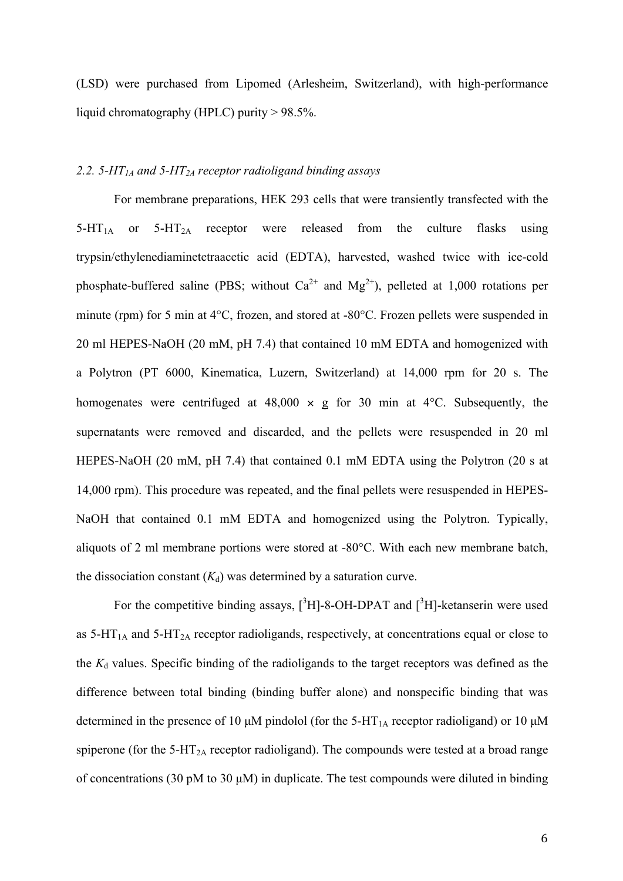(LSD) were purchased from Lipomed (Arlesheim, Switzerland), with high-performance liquid chromatography (HPLC) purity > 98.5%.

#### *2.2. 5-HT1A and 5-HT2A receptor radioligand binding assays*

For membrane preparations, HEK 293 cells that were transiently transfected with the  $5-\text{HT}_{1A}$  or  $5-\text{HT}_{2A}$  receptor were released from the culture flasks using trypsin/ethylenediaminetetraacetic acid (EDTA), harvested, washed twice with ice-cold phosphate-buffered saline (PBS; without  $Ca^{2+}$  and  $Mg^{2+}$ ), pelleted at 1,000 rotations per minute (rpm) for 5 min at 4°C, frozen, and stored at -80°C. Frozen pellets were suspended in 20 ml HEPES-NaOH (20 mM, pH 7.4) that contained 10 mM EDTA and homogenized with a Polytron (PT 6000, Kinematica, Luzern, Switzerland) at 14,000 rpm for 20 s. The homogenates were centrifuged at  $48,000 \times g$  for 30 min at  $4^{\circ}$ C. Subsequently, the supernatants were removed and discarded, and the pellets were resuspended in 20 ml HEPES-NaOH (20 mM, pH 7.4) that contained 0.1 mM EDTA using the Polytron (20 s at 14,000 rpm). This procedure was repeated, and the final pellets were resuspended in HEPES-NaOH that contained 0.1 mM EDTA and homogenized using the Polytron. Typically, aliquots of 2 ml membrane portions were stored at -80°C. With each new membrane batch, the dissociation constant  $(K_d)$  was determined by a saturation curve.

For the competitive binding assays,  $[{}^{3}H]$ -8-OH-DPAT and  $[{}^{3}H]$ -ketanserin were used as  $5-\text{HT}_{1\text{A}}$  and  $5-\text{HT}_{2\text{A}}$  receptor radioligands, respectively, at concentrations equal or close to the  $K_d$  values. Specific binding of the radioligands to the target receptors was defined as the difference between total binding (binding buffer alone) and nonspecific binding that was determined in the presence of 10  $\mu$ M pindolol (for the 5-HT<sub>1A</sub> receptor radioligand) or 10  $\mu$ M spiperone (for the 5-HT<sub>2A</sub> receptor radioligand). The compounds were tested at a broad range of concentrations (30 pM to 30  $\mu$ M) in duplicate. The test compounds were diluted in binding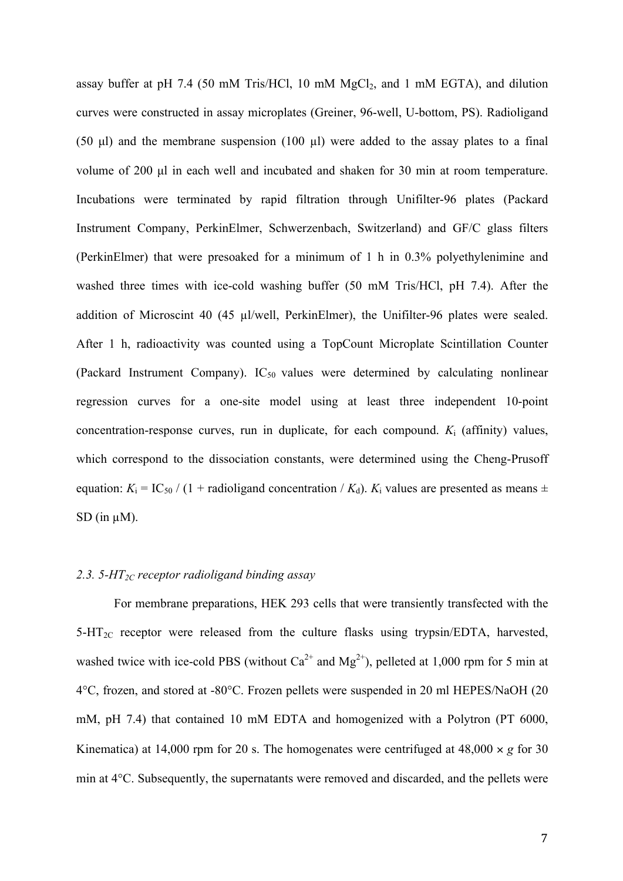assay buffer at pH 7.4 (50 mM Tris/HCl, 10 mM  $MgCl<sub>2</sub>$ , and 1 mM EGTA), and dilution curves were constructed in assay microplates (Greiner, 96-well, U-bottom, PS). Radioligand (50 µl) and the membrane suspension (100 µl) were added to the assay plates to a final volume of 200 µl in each well and incubated and shaken for 30 min at room temperature. Incubations were terminated by rapid filtration through Unifilter-96 plates (Packard Instrument Company, PerkinElmer, Schwerzenbach, Switzerland) and GF/C glass filters (PerkinElmer) that were presoaked for a minimum of 1 h in 0.3% polyethylenimine and washed three times with ice-cold washing buffer (50 mM Tris/HCl, pH 7.4). After the addition of Microscint 40 (45 µl/well, PerkinElmer), the Unifilter-96 plates were sealed. After 1 h, radioactivity was counted using a TopCount Microplate Scintillation Counter (Packard Instrument Company).  $IC_{50}$  values were determined by calculating nonlinear regression curves for a one-site model using at least three independent 10-point concentration-response curves, run in duplicate, for each compound.  $K_i$  (affinity) values, which correspond to the dissociation constants, were determined using the Cheng-Prusoff equation:  $K_i = IC_{50} / (1 + \text{radioligand concentration} / K_d)$ .  $K_i$  values are presented as means  $\pm$  $SD$  (in  $\mu$ M).

# *2.3. 5-HT2C receptor radioligand binding assay*

For membrane preparations, HEK 293 cells that were transiently transfected with the  $5-\text{HT}_{2C}$  receptor were released from the culture flasks using trypsin/EDTA, harvested, washed twice with ice-cold PBS (without  $Ca^{2+}$  and  $Mg^{2+}$ ), pelleted at 1,000 rpm for 5 min at 4°C, frozen, and stored at -80°C. Frozen pellets were suspended in 20 ml HEPES/NaOH (20 mM, pH 7.4) that contained 10 mM EDTA and homogenized with a Polytron (PT 6000, Kinematica) at 14,000 rpm for 20 s. The homogenates were centrifuged at  $48,000 \times g$  for 30 min at 4°C. Subsequently, the supernatants were removed and discarded, and the pellets were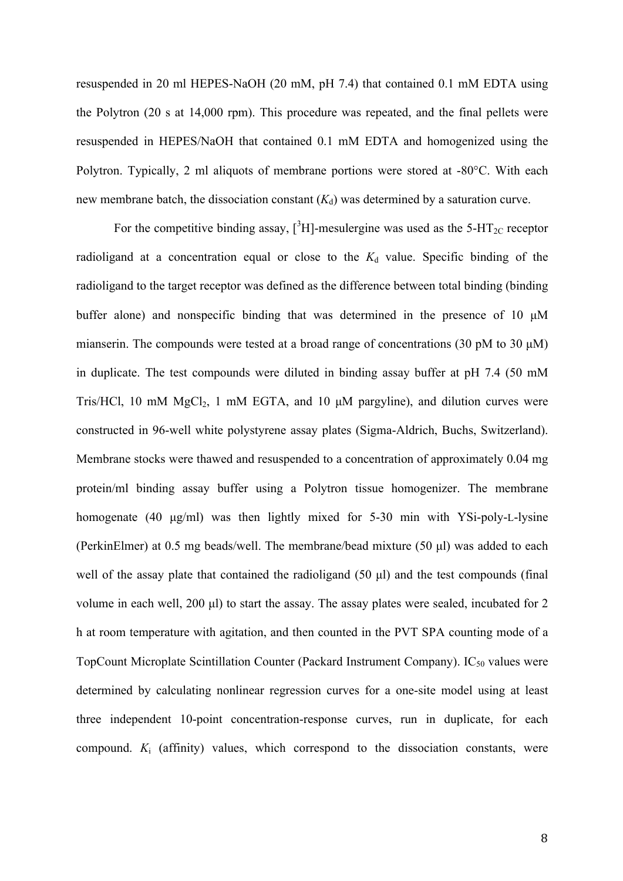resuspended in 20 ml HEPES-NaOH (20 mM, pH 7.4) that contained 0.1 mM EDTA using the Polytron (20 s at 14,000 rpm). This procedure was repeated, and the final pellets were resuspended in HEPES/NaOH that contained 0.1 mM EDTA and homogenized using the Polytron. Typically, 2 ml aliquots of membrane portions were stored at -80°C. With each new membrane batch, the dissociation constant  $(K_d)$  was determined by a saturation curve.

For the competitive binding assay,  $[^{3}H]$ -mesulergine was used as the 5-HT<sub>2C</sub> receptor radioligand at a concentration equal or close to the  $K_d$  value. Specific binding of the radioligand to the target receptor was defined as the difference between total binding (binding buffer alone) and nonspecific binding that was determined in the presence of 10  $\mu$ M mianserin. The compounds were tested at a broad range of concentrations (30 pM to 30  $\mu$ M) in duplicate. The test compounds were diluted in binding assay buffer at pH 7.4 (50 mM Tris/HCl, 10 mM  $MgCl<sub>2</sub>$ , 1 mM EGTA, and 10  $\mu$ M pargyline), and dilution curves were constructed in 96-well white polystyrene assay plates (Sigma-Aldrich, Buchs, Switzerland). Membrane stocks were thawed and resuspended to a concentration of approximately 0.04 mg protein/ml binding assay buffer using a Polytron tissue homogenizer. The membrane homogenate (40 µg/ml) was then lightly mixed for 5-30 min with YSi-poly-L-lysine (PerkinElmer) at 0.5 mg beads/well. The membrane/bead mixture (50 µl) was added to each well of the assay plate that contained the radioligand (50 µl) and the test compounds (final volume in each well, 200 µl) to start the assay. The assay plates were sealed, incubated for 2 h at room temperature with agitation, and then counted in the PVT SPA counting mode of a TopCount Microplate Scintillation Counter (Packard Instrument Company).  $IC_{50}$  values were determined by calculating nonlinear regression curves for a one-site model using at least three independent 10-point concentration-response curves, run in duplicate, for each compound. *K*<sup>i</sup> (affinity) values, which correspond to the dissociation constants, were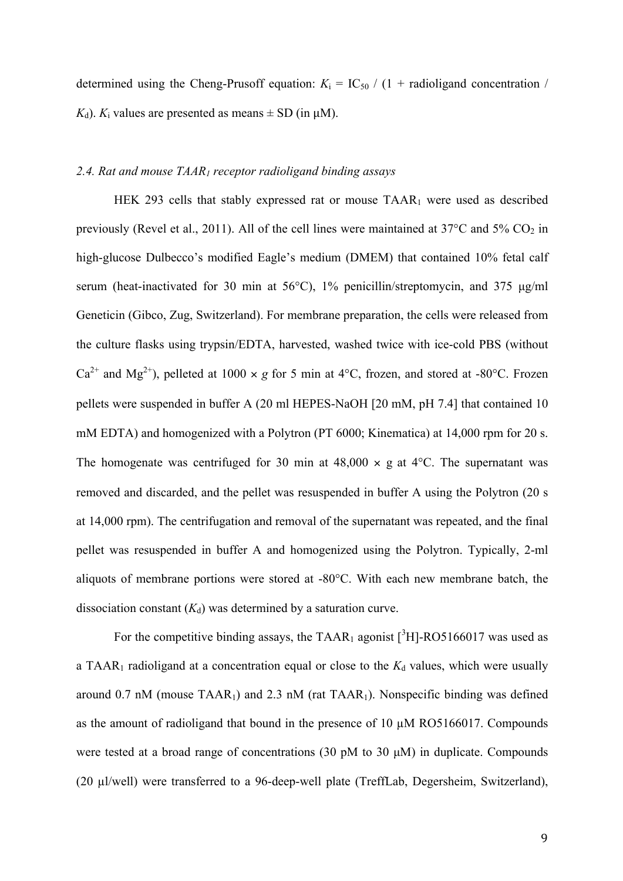determined using the Cheng-Prusoff equation:  $K_i = IC_{50} / (1 + \text{radioligand concentration})$  $K_d$ ).  $K_i$  values are presented as means  $\pm$  SD (in  $\mu$ M).

#### *2.4. Rat and mouse TAAR1 receptor radioligand binding assays*

HEK 293 cells that stably expressed rat or mouse TAAR<sub>1</sub> were used as described previously (Revel et al., 2011). All of the cell lines were maintained at  $37^{\circ}$ C and  $5\%$  CO<sub>2</sub> in high-glucose Dulbecco's modified Eagle's medium (DMEM) that contained 10% fetal calf serum (heat-inactivated for 30 min at 56°C), 1% penicillin/streptomycin, and 375  $\mu$ g/ml Geneticin (Gibco, Zug, Switzerland). For membrane preparation, the cells were released from the culture flasks using trypsin/EDTA, harvested, washed twice with ice-cold PBS (without  $Ca^{2+}$  and Mg<sup>2+</sup>), pelleted at 1000  $\times$  *g* for 5 min at 4°C, frozen, and stored at -80°C. Frozen pellets were suspended in buffer A (20 ml HEPES-NaOH [20 mM, pH 7.4] that contained 10 mM EDTA) and homogenized with a Polytron (PT 6000; Kinematica) at 14,000 rpm for 20 s. The homogenate was centrifuged for 30 min at  $48,000 \times g$  at  $4^{\circ}$ C. The supernatant was removed and discarded, and the pellet was resuspended in buffer A using the Polytron (20 s at 14,000 rpm). The centrifugation and removal of the supernatant was repeated, and the final pellet was resuspended in buffer A and homogenized using the Polytron. Typically, 2-ml aliquots of membrane portions were stored at -80°C. With each new membrane batch, the dissociation constant  $(K_d)$  was determined by a saturation curve.

For the competitive binding assays, the TAAR<sub>1</sub> agonist  $[^3H]$ -RO5166017 was used as a TAAR<sub>1</sub> radioligand at a concentration equal or close to the  $K_d$  values, which were usually around 0.7 nM (mouse  $TAAR_1$ ) and 2.3 nM (rat  $TAAR_1$ ). Nonspecific binding was defined as the amount of radioligand that bound in the presence of 10 µM RO5166017. Compounds were tested at a broad range of concentrations (30 pM to 30  $\mu$ M) in duplicate. Compounds (20 µl/well) were transferred to a 96-deep-well plate (TreffLab, Degersheim, Switzerland),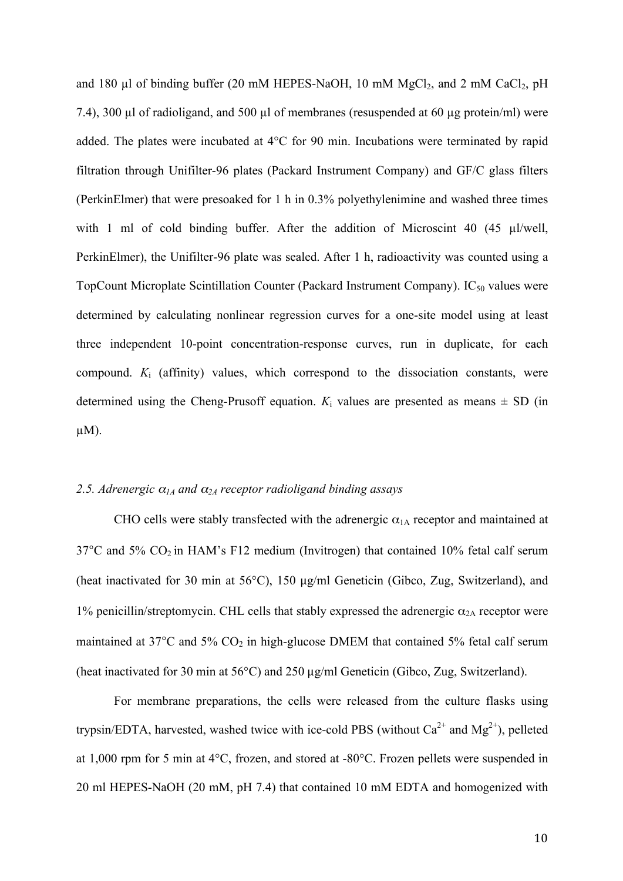and 180  $\mu$ l of binding buffer (20 mM HEPES-NaOH, 10 mM MgCl<sub>2</sub>, and 2 mM CaCl<sub>2</sub>, pH 7.4), 300 µl of radioligand, and 500 µl of membranes (resuspended at 60 µg protein/ml) were added. The plates were incubated at 4°C for 90 min. Incubations were terminated by rapid filtration through Unifilter-96 plates (Packard Instrument Company) and GF/C glass filters (PerkinElmer) that were presoaked for 1 h in 0.3% polyethylenimine and washed three times with 1 ml of cold binding buffer. After the addition of Microscint 40 (45 µl/well, PerkinElmer), the Unifilter-96 plate was sealed. After 1 h, radioactivity was counted using a TopCount Microplate Scintillation Counter (Packard Instrument Company).  $IC_{50}$  values were determined by calculating nonlinear regression curves for a one-site model using at least three independent 10-point concentration-response curves, run in duplicate, for each compound. *K*<sup>i</sup> (affinity) values, which correspond to the dissociation constants, were determined using the Cheng-Prusoff equation.  $K_i$  values are presented as means  $\pm$  SD (in  $\mu$ M).

#### 2.5. *Adrenergic*  $\alpha_{IA}$  *and*  $\alpha_{2A}$  *receptor radioligand binding assays*

CHO cells were stably transfected with the adrenergic  $\alpha_{1A}$  receptor and maintained at  $37^{\circ}$ C and  $5\%$  CO<sub>2</sub> in HAM's F12 medium (Invitrogen) that contained 10% fetal calf serum (heat inactivated for 30 min at 56°C), 150 μg/ml Geneticin (Gibco, Zug, Switzerland), and 1% penicillin/streptomycin. CHL cells that stably expressed the adrenergic  $\alpha_{2A}$  receptor were maintained at  $37^{\circ}$ C and  $5\%$  CO<sub>2</sub> in high-glucose DMEM that contained  $5\%$  fetal calf serum (heat inactivated for 30 min at 56°C) and 250 μg/ml Geneticin (Gibco, Zug, Switzerland).

For membrane preparations, the cells were released from the culture flasks using trypsin/EDTA, harvested, washed twice with ice-cold PBS (without  $Ca^{2+}$  and  $Mg^{2+}$ ), pelleted at 1,000 rpm for 5 min at 4°C, frozen, and stored at -80°C. Frozen pellets were suspended in 20 ml HEPES-NaOH (20 mM, pH 7.4) that contained 10 mM EDTA and homogenized with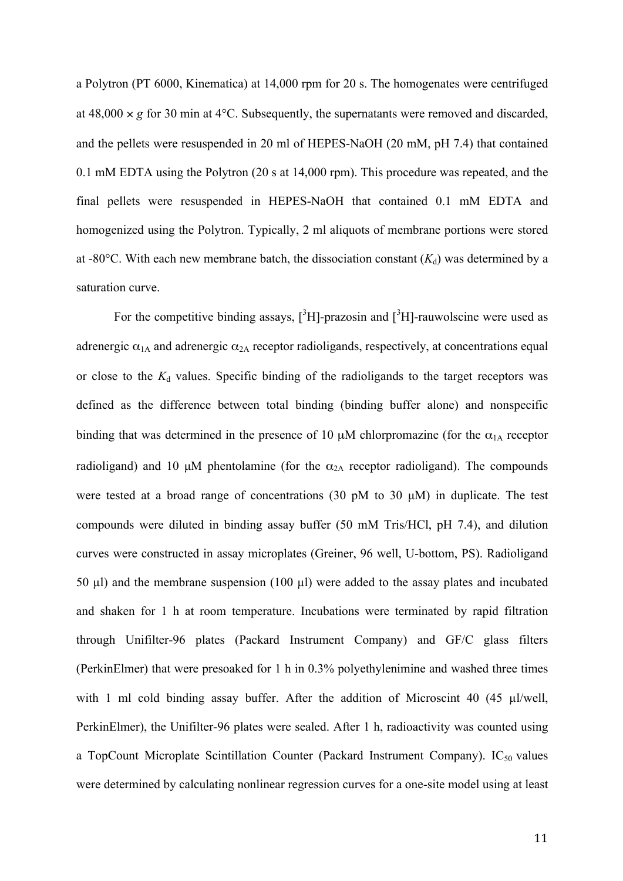a Polytron (PT 6000, Kinematica) at 14,000 rpm for 20 s. The homogenates were centrifuged at  $48,000 \times g$  for 30 min at  $4^{\circ}$ C. Subsequently, the supernatants were removed and discarded, and the pellets were resuspended in 20 ml of HEPES-NaOH (20 mM, pH 7.4) that contained 0.1 mM EDTA using the Polytron (20 s at 14,000 rpm). This procedure was repeated, and the final pellets were resuspended in HEPES-NaOH that contained 0.1 mM EDTA and homogenized using the Polytron. Typically, 2 ml aliquots of membrane portions were stored at -80 $^{\circ}$ C. With each new membrane batch, the dissociation constant  $(K_d)$  was determined by a saturation curve.

For the competitive binding assays,  $[{}^{3}H]$ -prazosin and  $[{}^{3}H]$ -rauwolscine were used as adrenergic  $\alpha_{1A}$  and adrenergic  $\alpha_{2A}$  receptor radioligands, respectively, at concentrations equal or close to the  $K_d$  values. Specific binding of the radioligands to the target receptors was defined as the difference between total binding (binding buffer alone) and nonspecific binding that was determined in the presence of 10  $\mu$ M chlorpromazine (for the  $\alpha_{1A}$  receptor radioligand) and 10  $\mu$ M phentolamine (for the  $\alpha_{2A}$  receptor radioligand). The compounds were tested at a broad range of concentrations (30 pM to 30 µM) in duplicate. The test compounds were diluted in binding assay buffer (50 mM Tris/HCl, pH 7.4), and dilution curves were constructed in assay microplates (Greiner, 96 well, U-bottom, PS). Radioligand 50  $\mu$ l) and the membrane suspension (100  $\mu$ l) were added to the assay plates and incubated and shaken for 1 h at room temperature. Incubations were terminated by rapid filtration through Unifilter-96 plates (Packard Instrument Company) and GF/C glass filters (PerkinElmer) that were presoaked for 1 h in 0.3% polyethylenimine and washed three times with 1 ml cold binding assay buffer. After the addition of Microscint 40 (45 µl/well, PerkinElmer), the Unifilter-96 plates were sealed. After 1 h, radioactivity was counted using a TopCount Microplate Scintillation Counter (Packard Instrument Company).  $IC_{50}$  values were determined by calculating nonlinear regression curves for a one-site model using at least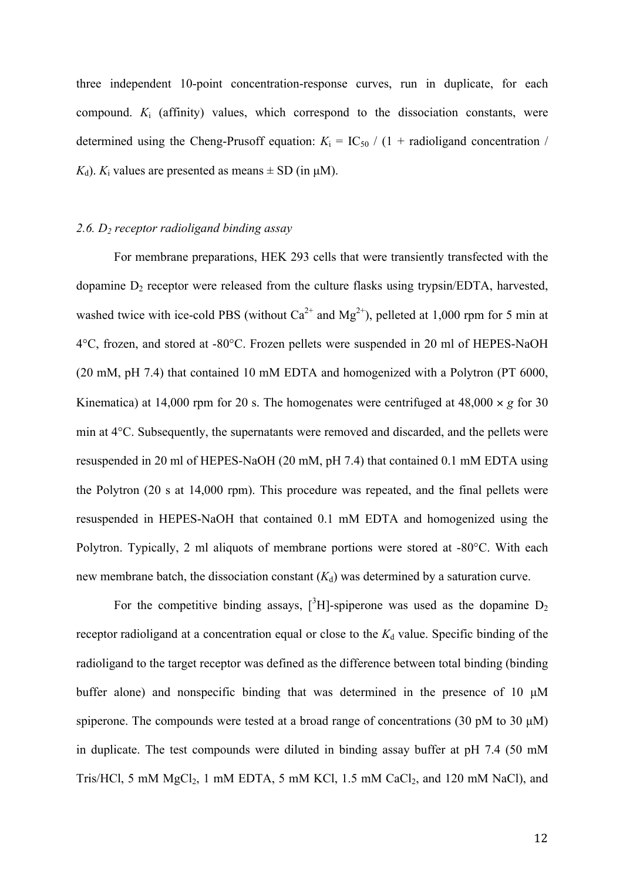three independent 10-point concentration-response curves, run in duplicate, for each compound.  $K_i$  (affinity) values, which correspond to the dissociation constants, were determined using the Cheng-Prusoff equation:  $K_i = IC_{50} / (1 + \text{radio}$  concentration /  $K_d$ ).  $K_i$  values are presented as means  $\pm$  SD (in  $\mu$ M).

#### *2.6. D2 receptor radioligand binding assay*

For membrane preparations, HEK 293 cells that were transiently transfected with the dopamine  $D_2$  receptor were released from the culture flasks using trypsin/EDTA, harvested, washed twice with ice-cold PBS (without  $Ca^{2+}$  and  $Mg^{2+}$ ), pelleted at 1,000 rpm for 5 min at 4°C, frozen, and stored at -80°C. Frozen pellets were suspended in 20 ml of HEPES-NaOH (20 mM, pH 7.4) that contained 10 mM EDTA and homogenized with a Polytron (PT 6000, Kinematica) at 14,000 rpm for 20 s. The homogenates were centrifuged at  $48,000 \times g$  for 30 min at 4°C. Subsequently, the supernatants were removed and discarded, and the pellets were resuspended in 20 ml of HEPES-NaOH (20 mM, pH 7.4) that contained 0.1 mM EDTA using the Polytron (20 s at 14,000 rpm). This procedure was repeated, and the final pellets were resuspended in HEPES-NaOH that contained 0.1 mM EDTA and homogenized using the Polytron. Typically, 2 ml aliquots of membrane portions were stored at -80°C. With each new membrane batch, the dissociation constant  $(K_d)$  was determined by a saturation curve.

For the competitive binding assays,  $[^{3}H]$ -spiperone was used as the dopamine  $D_2$ receptor radioligand at a concentration equal or close to the  $K_d$  value. Specific binding of the radioligand to the target receptor was defined as the difference between total binding (binding buffer alone) and nonspecific binding that was determined in the presence of 10  $\mu$ M spiperone. The compounds were tested at a broad range of concentrations (30 pM to 30  $\mu$ M) in duplicate. The test compounds were diluted in binding assay buffer at pH 7.4 (50 mM Tris/HCl, 5 mM  $MgCl<sub>2</sub>$ , 1 mM EDTA, 5 mM KCl, 1.5 mM CaCl<sub>2</sub>, and 120 mM NaCl), and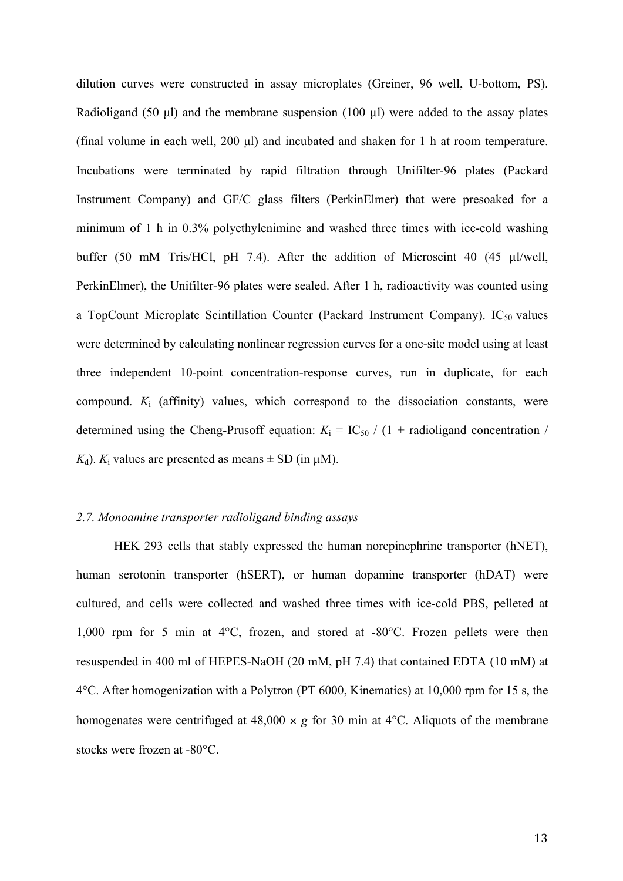dilution curves were constructed in assay microplates (Greiner, 96 well, U-bottom, PS). Radioligand (50 µl) and the membrane suspension (100 µl) were added to the assay plates (final volume in each well, 200 µl) and incubated and shaken for 1 h at room temperature. Incubations were terminated by rapid filtration through Unifilter-96 plates (Packard Instrument Company) and GF/C glass filters (PerkinElmer) that were presoaked for a minimum of 1 h in 0.3% polyethylenimine and washed three times with ice-cold washing buffer (50 mM Tris/HCl, pH 7.4). After the addition of Microscint 40 (45 µl/well, PerkinElmer), the Unifilter-96 plates were sealed. After 1 h, radioactivity was counted using a TopCount Microplate Scintillation Counter (Packard Instrument Company).  $IC_{50}$  values were determined by calculating nonlinear regression curves for a one-site model using at least three independent 10-point concentration-response curves, run in duplicate, for each compound.  $K_i$  (affinity) values, which correspond to the dissociation constants, were determined using the Cheng-Prusoff equation:  $K_i = IC_{50} / (1 + \text{radio}$  concentration /  $K_d$ ).  $K_i$  values are presented as means  $\pm$  SD (in  $\mu$ M).

#### *2.7. Monoamine transporter radioligand binding assays*

HEK 293 cells that stably expressed the human norepinephrine transporter (hNET), human serotonin transporter (hSERT), or human dopamine transporter (hDAT) were cultured, and cells were collected and washed three times with ice-cold PBS, pelleted at 1,000 rpm for 5 min at 4°C, frozen, and stored at -80°C. Frozen pellets were then resuspended in 400 ml of HEPES-NaOH (20 mM, pH 7.4) that contained EDTA (10 mM) at 4°C. After homogenization with a Polytron (PT 6000, Kinematics) at 10,000 rpm for 15 s, the homogenates were centrifuged at  $48,000 \times g$  for 30 min at  $4^{\circ}$ C. Aliquots of the membrane stocks were frozen at -80°C.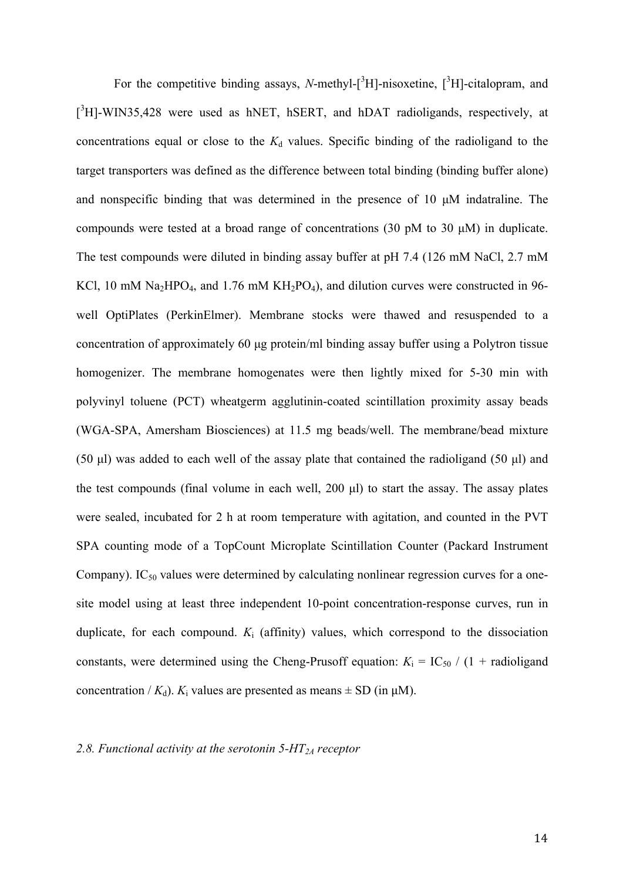For the competitive binding assays, *N*-methyl- $[^3H]$ -nisoxetine,  $[^3H]$ -citalopram, and [<sup>3</sup>H]-WIN35,428 were used as hNET, hSERT, and hDAT radioligands, respectively, at concentrations equal or close to the  $K_d$  values. Specific binding of the radioligand to the target transporters was defined as the difference between total binding (binding buffer alone) and nonspecific binding that was determined in the presence of 10 µM indatraline. The compounds were tested at a broad range of concentrations (30 pM to 30 µM) in duplicate. The test compounds were diluted in binding assay buffer at pH 7.4 (126 mM NaCl, 2.7 mM KCl, 10 mM Na<sub>2</sub>HPO<sub>4</sub>, and 1.76 mM KH<sub>2</sub>PO<sub>4</sub>), and dilution curves were constructed in 96well OptiPlates (PerkinElmer). Membrane stocks were thawed and resuspended to a concentration of approximately 60 µg protein/ml binding assay buffer using a Polytron tissue homogenizer. The membrane homogenates were then lightly mixed for 5-30 min with polyvinyl toluene (PCT) wheatgerm agglutinin-coated scintillation proximity assay beads (WGA-SPA, Amersham Biosciences) at 11.5 mg beads/well. The membrane/bead mixture (50 µl) was added to each well of the assay plate that contained the radioligand (50 µl) and the test compounds (final volume in each well, 200 µl) to start the assay. The assay plates were sealed, incubated for 2 h at room temperature with agitation, and counted in the PVT SPA counting mode of a TopCount Microplate Scintillation Counter (Packard Instrument Company). IC<sub>50</sub> values were determined by calculating nonlinear regression curves for a onesite model using at least three independent 10-point concentration-response curves, run in duplicate, for each compound.  $K_i$  (affinity) values, which correspond to the dissociation constants, were determined using the Cheng-Prusoff equation:  $K_i = IC_{50} / (1 + radioligand)$ concentration /  $K_d$ ).  $K_i$  values are presented as means  $\pm$  SD (in  $\mu$ M).

# *2.8. Functional activity at the serotonin 5-HT2A receptor*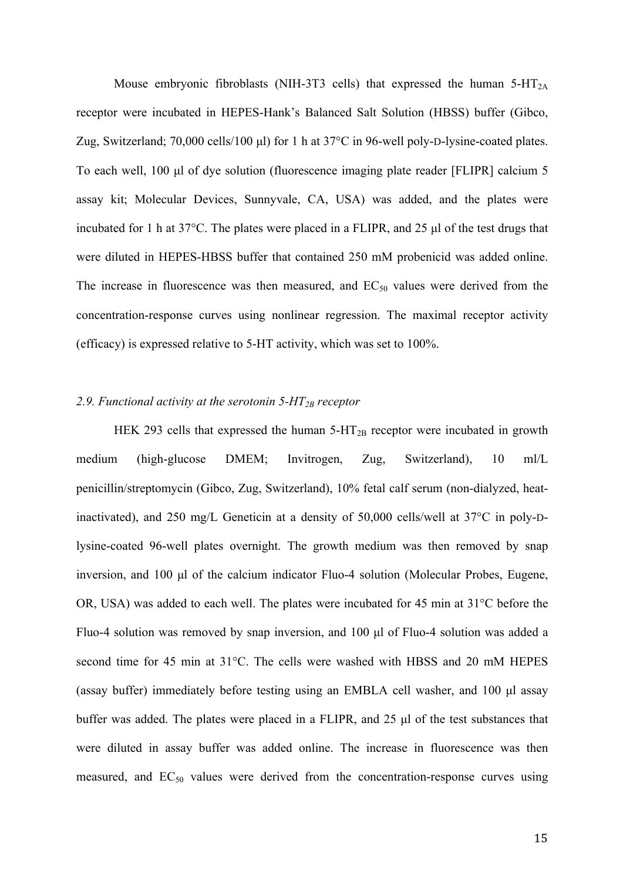Mouse embryonic fibroblasts (NIH-3T3 cells) that expressed the human  $5-HT_{2A}$ receptor were incubated in HEPES-Hank's Balanced Salt Solution (HBSS) buffer (Gibco, Zug, Switzerland; 70,000 cells/100 µl) for 1 h at 37°C in 96-well poly-D-lysine-coated plates. To each well, 100 µl of dye solution (fluorescence imaging plate reader [FLIPR] calcium 5 assay kit; Molecular Devices, Sunnyvale, CA, USA) was added, and the plates were incubated for 1 h at 37°C. The plates were placed in a FLIPR, and 25 µl of the test drugs that were diluted in HEPES-HBSS buffer that contained 250 mM probenicid was added online. The increase in fluorescence was then measured, and  $EC_{50}$  values were derived from the concentration-response curves using nonlinear regression. The maximal receptor activity (efficacy) is expressed relative to 5-HT activity, which was set to 100%.

#### *2.9. Functional activity at the serotonin 5-HT2B receptor*

HEK 293 cells that expressed the human  $5-HT_{2B}$  receptor were incubated in growth medium (high-glucose DMEM; Invitrogen, Zug, Switzerland), 10 ml/L penicillin/streptomycin (Gibco, Zug, Switzerland), 10% fetal calf serum (non-dialyzed, heatinactivated), and 250 mg/L Geneticin at a density of 50,000 cells/well at 37°C in poly-Dlysine-coated 96-well plates overnight. The growth medium was then removed by snap inversion, and 100 µl of the calcium indicator Fluo-4 solution (Molecular Probes, Eugene, OR, USA) was added to each well. The plates were incubated for 45 min at 31°C before the Fluo-4 solution was removed by snap inversion, and 100 µl of Fluo-4 solution was added a second time for 45 min at 31°C. The cells were washed with HBSS and 20 mM HEPES (assay buffer) immediately before testing using an EMBLA cell washer, and 100 µl assay buffer was added. The plates were placed in a FLIPR, and 25 µl of the test substances that were diluted in assay buffer was added online. The increase in fluorescence was then measured, and  $EC_{50}$  values were derived from the concentration-response curves using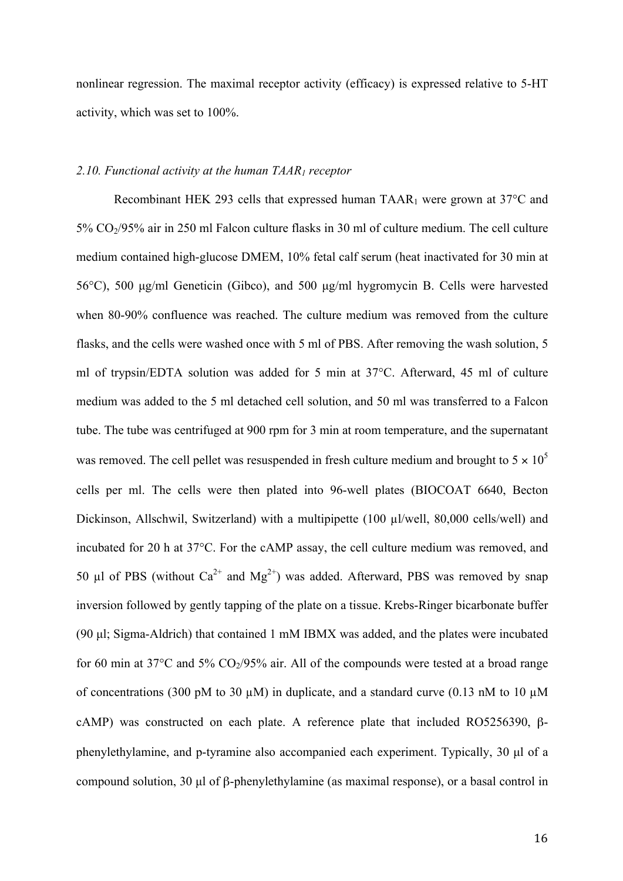nonlinear regression. The maximal receptor activity (efficacy) is expressed relative to 5-HT activity, which was set to 100%.

#### *2.10. Functional activity at the human TAAR1 receptor*

Recombinant HEK 293 cells that expressed human TAAR<sub>1</sub> were grown at  $37^{\circ}$ C and 5% CO2/95% air in 250 ml Falcon culture flasks in 30 ml of culture medium. The cell culture medium contained high-glucose DMEM, 10% fetal calf serum (heat inactivated for 30 min at 56°C), 500 µg/ml Geneticin (Gibco), and 500 µg/ml hygromycin B. Cells were harvested when 80-90% confluence was reached. The culture medium was removed from the culture flasks, and the cells were washed once with 5 ml of PBS. After removing the wash solution, 5 ml of trypsin/EDTA solution was added for 5 min at 37°C. Afterward, 45 ml of culture medium was added to the 5 ml detached cell solution, and 50 ml was transferred to a Falcon tube. The tube was centrifuged at 900 rpm for 3 min at room temperature, and the supernatant was removed. The cell pellet was resuspended in fresh culture medium and brought to  $5 \times 10^5$ cells per ml. The cells were then plated into 96-well plates (BIOCOAT 6640, Becton Dickinson, Allschwil, Switzerland) with a multipipette (100 µl/well, 80,000 cells/well) and incubated for 20 h at 37°C. For the cAMP assay, the cell culture medium was removed, and 50 µl of PBS (without  $Ca^{2+}$  and  $Mg^{2+}$ ) was added. Afterward, PBS was removed by snap inversion followed by gently tapping of the plate on a tissue. Krebs-Ringer bicarbonate buffer (90 µl; Sigma-Aldrich) that contained 1 mM IBMX was added, and the plates were incubated for 60 min at  $37^{\circ}$ C and  $5\%$  CO<sub>2</sub>/95% air. All of the compounds were tested at a broad range of concentrations (300 pM to 30  $\mu$ M) in duplicate, and a standard curve (0.13 nM to 10  $\mu$ M cAMP) was constructed on each plate. A reference plate that included RO5256390, βphenylethylamine, and p-tyramine also accompanied each experiment. Typically, 30 µl of a compound solution, 30 µl of β-phenylethylamine (as maximal response), or a basal control in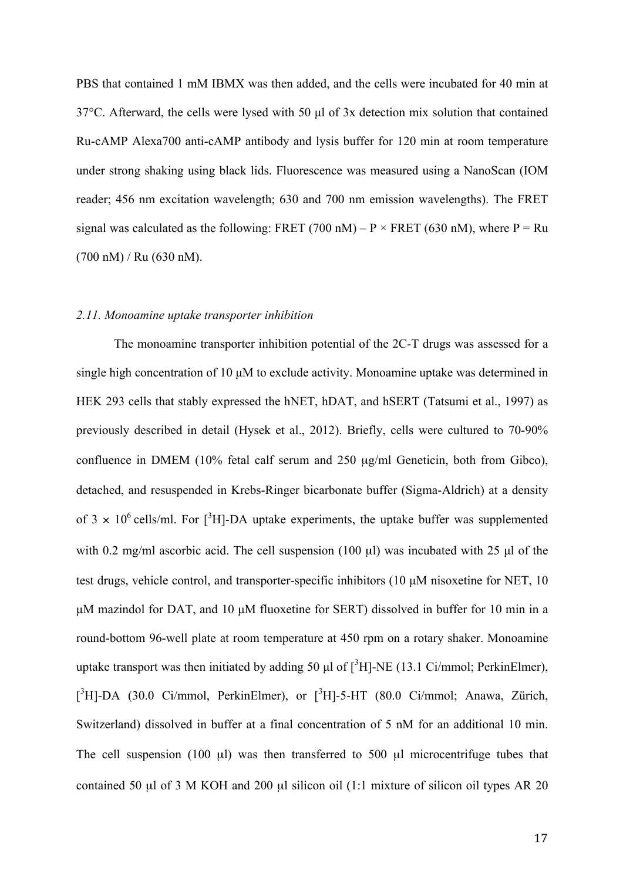PBS that contained 1 mM IBMX was then added, and the cells were incubated for 40 min at 37°C. Afterward, the cells were lysed with 50 µl of 3x detection mix solution that contained Ru-cAMP Alexa700 anti-cAMP antibody and lysis buffer for 120 min at room temperature under strong shaking using black lids. Fluorescence was measured using a NanoScan (IOM reader; 456 nm excitation wavelength; 630 and 700 nm emission wavelengths). The FRET signal was calculated as the following: FRET (700 nM) – P  $\times$  FRET (630 nM), where P = Ru (700 nM) / Ru (630 nM).

#### *2.11. Monoamine uptake transporter inhibition*

The monoamine transporter inhibition potential of the 2C-T drugs was assessed for a single high concentration of 10  $\mu$ M to exclude activity. Monoamine uptake was determined in HEK 293 cells that stably expressed the hNET, hDAT, and hSERT (Tatsumi et al., 1997) as previously described in detail (Hysek et al., 2012). Briefly, cells were cultured to 70-90% confluence in DMEM (10% fetal calf serum and 250 µg/ml Geneticin, both from Gibco), detached, and resuspended in Krebs-Ringer bicarbonate buffer (Sigma-Aldrich) at a density of 3  $\times$  10<sup>6</sup> cells/ml. For [<sup>3</sup>H]-DA uptake experiments, the uptake buffer was supplemented with 0.2 mg/ml ascorbic acid. The cell suspension (100 µl) was incubated with 25 µl of the test drugs, vehicle control, and transporter-specific inhibitors (10 µM nisoxetine for NET, 10 µM mazindol for DAT, and 10 µM fluoxetine for SERT) dissolved in buffer for 10 min in a round-bottom 96-well plate at room temperature at 450 rpm on a rotary shaker. Monoamine uptake transport was then initiated by adding 50  $\mu$ l of  $[^{3}H]$ -NE (13.1 Ci/mmol; PerkinElmer), [<sup>3</sup>H]-DA (30.0 Ci/mmol, PerkinElmer), or [<sup>3</sup>H]-5-HT (80.0 Ci/mmol; Anawa, Zürich, Switzerland) dissolved in buffer at a final concentration of 5 nM for an additional 10 min. The cell suspension (100  $\mu$ l) was then transferred to 500  $\mu$ l microcentrifuge tubes that contained 50  $\mu$ l of 3 M KOH and 200  $\mu$ l silicon oil (1:1 mixture of silicon oil types AR 20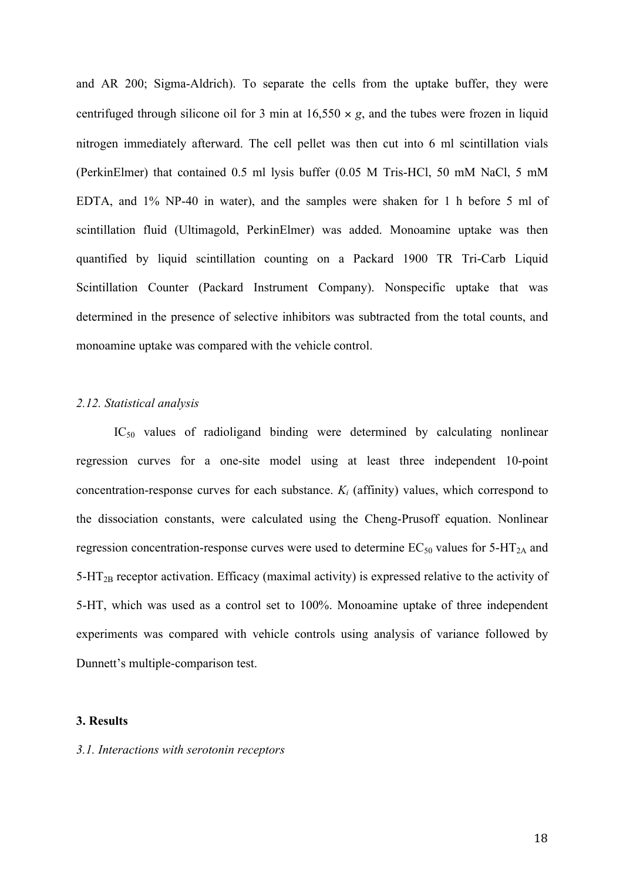and AR 200; Sigma-Aldrich). To separate the cells from the uptake buffer, they were centrifuged through silicone oil for 3 min at  $16,550 \times g$ , and the tubes were frozen in liquid nitrogen immediately afterward. The cell pellet was then cut into 6 ml scintillation vials (PerkinElmer) that contained 0.5 ml lysis buffer (0.05 M Tris-HCl, 50 mM NaCl, 5 mM EDTA, and 1% NP-40 in water), and the samples were shaken for 1 h before 5 ml of scintillation fluid (Ultimagold, PerkinElmer) was added. Monoamine uptake was then quantified by liquid scintillation counting on a Packard 1900 TR Tri-Carb Liquid Scintillation Counter (Packard Instrument Company). Nonspecific uptake that was determined in the presence of selective inhibitors was subtracted from the total counts, and monoamine uptake was compared with the vehicle control.

#### *2.12. Statistical analysis*

 $IC_{50}$  values of radioligand binding were determined by calculating nonlinear regression curves for a one-site model using at least three independent 10-point concentration-response curves for each substance. *Ki* (affinity) values, which correspond to the dissociation constants, were calculated using the Cheng-Prusoff equation. Nonlinear regression concentration-response curves were used to determine  $EC_{50}$  values for  $5-HT_{2A}$  and 5-HT2B receptor activation. Efficacy (maximal activity) is expressed relative to the activity of 5-HT, which was used as a control set to 100%. Monoamine uptake of three independent experiments was compared with vehicle controls using analysis of variance followed by Dunnett's multiple-comparison test.

#### **3. Results**

#### *3.1. Interactions with serotonin receptors*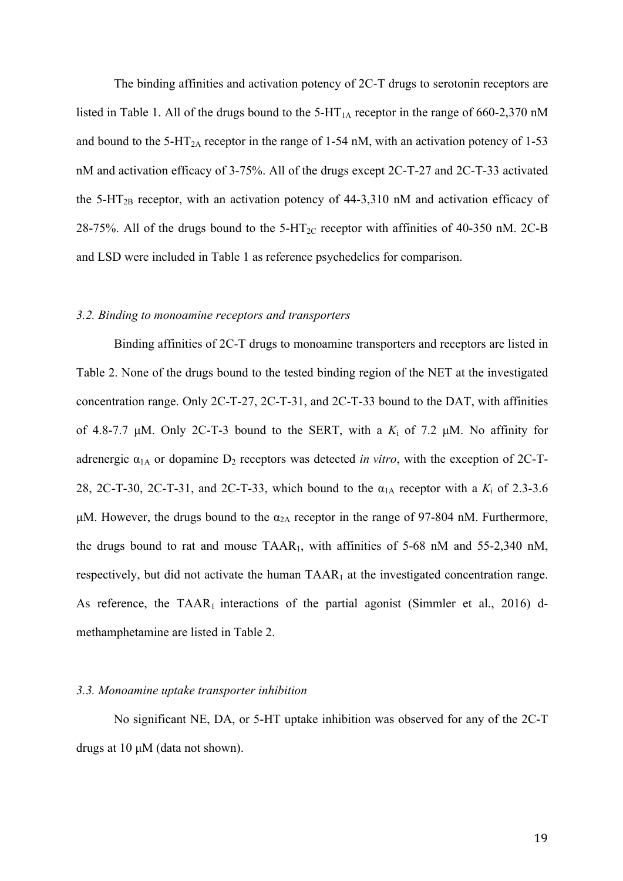The binding affinities and activation potency of 2C-T drugs to serotonin receptors are listed in Table 1. All of the drugs bound to the  $5-HT<sub>1A</sub>$  receptor in the range of 660-2,370 nM and bound to the 5-HT<sub>2A</sub> receptor in the range of 1-54 nM, with an activation potency of 1-53 nM and activation efficacy of 3-75%. All of the drugs except 2C-T-27 and 2C-T-33 activated the  $5-\text{HT}_{2B}$  receptor, with an activation potency of  $44-3,310 \text{ nM}$  and activation efficacy of 28-75%. All of the drugs bound to the  $5-\text{HT}_{2C}$  receptor with affinities of 40-350 nM. 2C-B and LSD were included in Table 1 as reference psychedelics for comparison.

# *3.2. Binding to monoamine receptors and transporters*

Binding affinities of 2C-T drugs to monoamine transporters and receptors are listed in Table 2. None of the drugs bound to the tested binding region of the NET at the investigated concentration range. Only 2C-T-27, 2C-T-31, and 2C-T-33 bound to the DAT, with affinities of 4.8-7.7  $\mu$ M. Only 2C-T-3 bound to the SERT, with a  $K_i$  of 7.2  $\mu$ M. No affinity for adrenergic  $\alpha_{1A}$  or dopamine  $D_2$  receptors was detected *in vitro*, with the exception of 2C-T-28, 2C-T-30, 2C-T-31, and 2C-T-33, which bound to the  $\alpha_{1A}$  receptor with a  $K_i$  of 2.3-3.6  $\mu$ M. However, the drugs bound to the  $\alpha_{2A}$  receptor in the range of 97-804 nM. Furthermore, the drugs bound to rat and mouse TAAR1, with affinities of 5-68 nM and 55-2,340 nM, respectively, but did not activate the human  $TAAR<sub>1</sub>$  at the investigated concentration range. As reference, the TAAR<sub>1</sub> interactions of the partial agonist (Simmler et al., 2016) dmethamphetamine are listed in Table 2.

#### *3.3. Monoamine uptake transporter inhibition*

No significant NE, DA, or 5-HT uptake inhibition was observed for any of the 2C-T drugs at 10 µM (data not shown).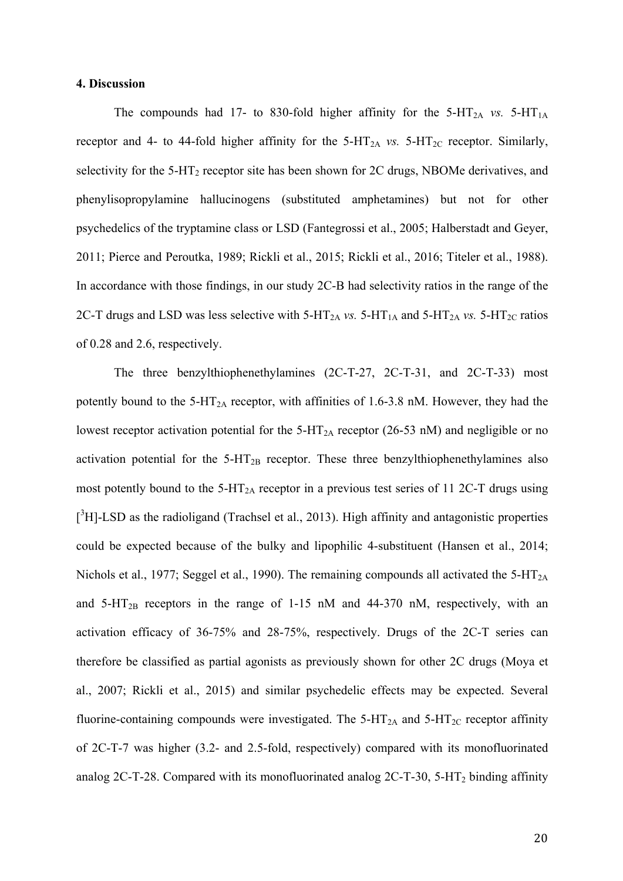#### **4. Discussion**

The compounds had 17- to 830-fold higher affinity for the  $5-HT_{2A}$  *vs.*  $5-HT_{1A}$ receptor and 4- to 44-fold higher affinity for the  $5-HT_{2A}$  *vs.*  $5-HT_{2C}$  receptor. Similarly, selectivity for the  $5-\text{HT}_2$  receptor site has been shown for 2C drugs, NBOMe derivatives, and phenylisopropylamine hallucinogens (substituted amphetamines) but not for other psychedelics of the tryptamine class or LSD (Fantegrossi et al., 2005; Halberstadt and Geyer, 2011; Pierce and Peroutka, 1989; Rickli et al., 2015; Rickli et al., 2016; Titeler et al., 1988). In accordance with those findings, in our study 2C-B had selectivity ratios in the range of the 2C-T drugs and LSD was less selective with  $5-HT_{2A}$  *vs.*  $5-HT_{1A}$  and  $5-HT_{2A}$  *vs.*  $5-HT_{2C}$  ratios of 0.28 and 2.6, respectively.

The three benzylthiophenethylamines (2C-T-27, 2C-T-31, and 2C-T-33) most potently bound to the  $5-HT_{2A}$  receptor, with affinities of 1.6-3.8 nM. However, they had the lowest receptor activation potential for the  $5-\text{HT}_{2A}$  receptor (26-53 nM) and negligible or no activation potential for the  $5-HT_{2B}$  receptor. These three benzylthiophenethylamines also most potently bound to the  $5-HT_{2A}$  receptor in a previous test series of 11 2C-T drugs using  $[{}^{3}H]$ -LSD as the radioligand (Trachsel et al., 2013). High affinity and antagonistic properties could be expected because of the bulky and lipophilic 4-substituent (Hansen et al., 2014; Nichols et al., 1977; Seggel et al., 1990). The remaining compounds all activated the  $5-HT<sub>2A</sub>$ and  $5-\text{HT}_{2B}$  receptors in the range of 1-15 nM and 44-370 nM, respectively, with an activation efficacy of 36-75% and 28-75%, respectively. Drugs of the 2C-T series can therefore be classified as partial agonists as previously shown for other 2C drugs (Moya et al., 2007; Rickli et al., 2015) and similar psychedelic effects may be expected. Several fluorine-containing compounds were investigated. The  $5-HT_{2A}$  and  $5-HT_{2C}$  receptor affinity of 2C-T-7 was higher (3.2- and 2.5-fold, respectively) compared with its monofluorinated analog 2C-T-28. Compared with its monofluorinated analog 2C-T-30, 5-HT<sub>2</sub> binding affinity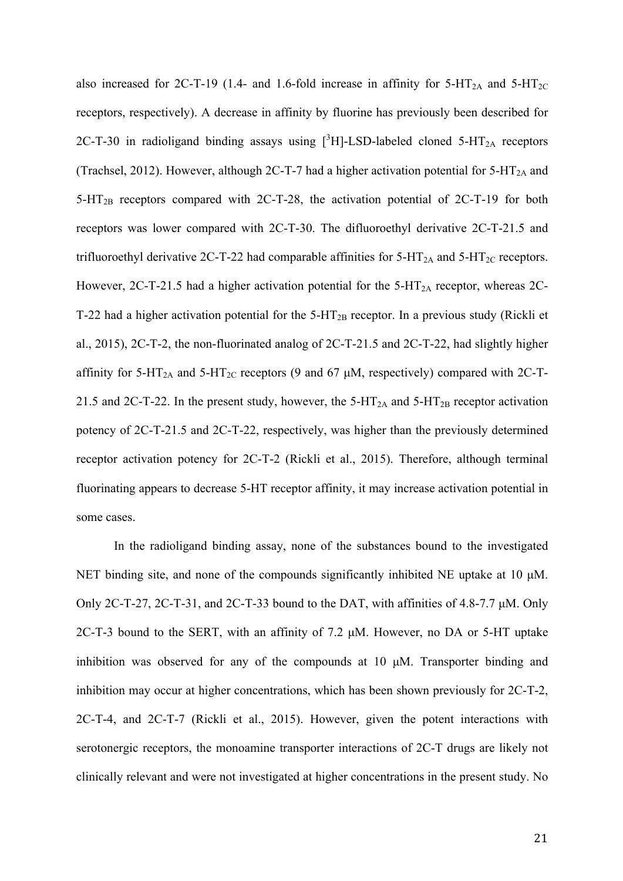also increased for 2C-T-19 (1.4- and 1.6-fold increase in affinity for  $5-HT_{2A}$  and  $5-HT_{2C}$ receptors, respectively). A decrease in affinity by fluorine has previously been described for 2C-T-30 in radioligand binding assays using  $[^{3}H]$ -LSD-labeled cloned 5-HT<sub>2A</sub> receptors (Trachsel, 2012). However, although 2C-T-7 had a higher activation potential for  $5-HT_{2A}$  and 5-HT2B receptors compared with 2C-T-28, the activation potential of 2C-T-19 for both receptors was lower compared with 2C-T-30. The difluoroethyl derivative 2C-T-21.5 and trifluoroethyl derivative 2C-T-22 had comparable affinities for  $5-HT_{2A}$  and  $5-HT_{2C}$  receptors. However, 2C-T-21.5 had a higher activation potential for the  $5-HT<sub>2A</sub>$  receptor, whereas 2C-T-22 had a higher activation potential for the  $5-HT_{2B}$  receptor. In a previous study (Rickli et al., 2015), 2C-T-2, the non-fluorinated analog of 2C-T-21.5 and 2C-T-22, had slightly higher affinity for 5-HT<sub>2A</sub> and 5-HT<sub>2C</sub> receptors (9 and 67  $\mu$ M, respectively) compared with 2C-T-21.5 and 2C-T-22. In the present study, however, the  $5-HT_{2A}$  and  $5-HT_{2B}$  receptor activation potency of 2C-T-21.5 and 2C-T-22, respectively, was higher than the previously determined receptor activation potency for 2C-T-2 (Rickli et al., 2015). Therefore, although terminal fluorinating appears to decrease 5-HT receptor affinity, it may increase activation potential in some cases.

In the radioligand binding assay, none of the substances bound to the investigated NET binding site, and none of the compounds significantly inhibited NE uptake at 10  $\mu$ M. Only 2C-T-27, 2C-T-31, and 2C-T-33 bound to the DAT, with affinities of 4.8-7.7  $\mu$ M. Only 2C-T-3 bound to the SERT, with an affinity of 7.2 µM. However, no DA or 5-HT uptake inhibition was observed for any of the compounds at 10 µM. Transporter binding and inhibition may occur at higher concentrations, which has been shown previously for 2C-T-2, 2C-T-4, and 2C-T-7 (Rickli et al., 2015). However, given the potent interactions with serotonergic receptors, the monoamine transporter interactions of 2C-T drugs are likely not clinically relevant and were not investigated at higher concentrations in the present study. No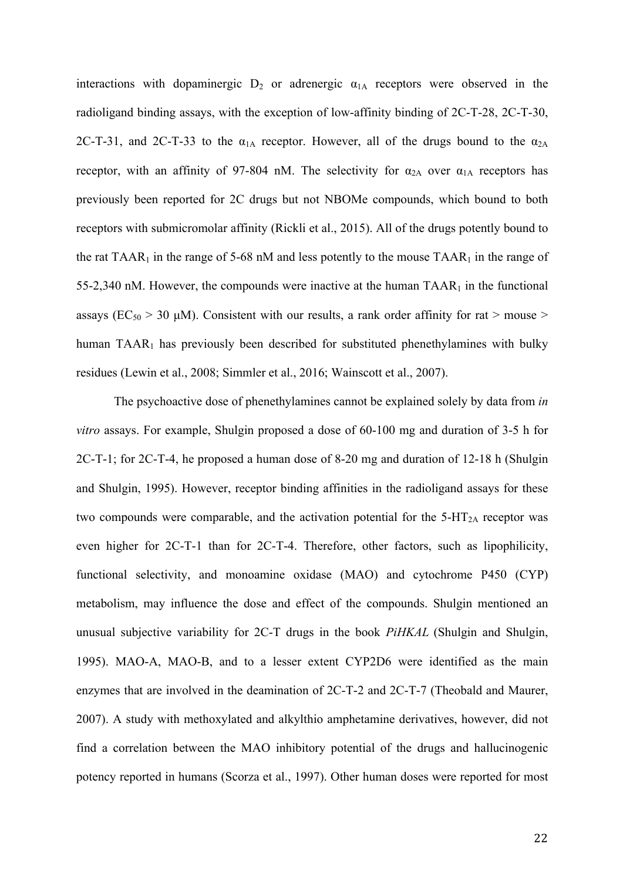interactions with dopaminergic  $D_2$  or adrenergic  $\alpha_{1A}$  receptors were observed in the radioligand binding assays, with the exception of low-affinity binding of 2C-T-28, 2C-T-30, 2C-T-31, and 2C-T-33 to the  $\alpha_{1A}$  receptor. However, all of the drugs bound to the  $\alpha_{2A}$ receptor, with an affinity of 97-804 nM. The selectivity for  $\alpha_{2A}$  over  $\alpha_{1A}$  receptors has previously been reported for 2C drugs but not NBOMe compounds, which bound to both receptors with submicromolar affinity (Rickli et al., 2015). All of the drugs potently bound to the rat  $TAAR_1$  in the range of 5-68 nM and less potently to the mouse  $TAAR_1$  in the range of 55-2,340 nM. However, the compounds were inactive at the human  $TAR<sub>1</sub>$  in the functional assays ( $EC_{50}$  > 30 µM). Consistent with our results, a rank order affinity for rat > mouse > human TAAR<sub>1</sub> has previously been described for substituted phenethylamines with bulky residues (Lewin et al., 2008; Simmler et al., 2016; Wainscott et al., 2007).

The psychoactive dose of phenethylamines cannot be explained solely by data from *in vitro* assays. For example, Shulgin proposed a dose of 60-100 mg and duration of 3-5 h for 2C-T-1; for 2C-T-4, he proposed a human dose of 8-20 mg and duration of 12-18 h (Shulgin and Shulgin, 1995). However, receptor binding affinities in the radioligand assays for these two compounds were comparable, and the activation potential for the  $5-HT_{2A}$  receptor was even higher for 2C-T-1 than for 2C-T-4. Therefore, other factors, such as lipophilicity, functional selectivity, and monoamine oxidase (MAO) and cytochrome P450 (CYP) metabolism, may influence the dose and effect of the compounds. Shulgin mentioned an unusual subjective variability for 2C-T drugs in the book *PiHKAL* (Shulgin and Shulgin, 1995). MAO-A, MAO-B, and to a lesser extent CYP2D6 were identified as the main enzymes that are involved in the deamination of 2C-T-2 and 2C-T-7 (Theobald and Maurer, 2007). A study with methoxylated and alkylthio amphetamine derivatives, however, did not find a correlation between the MAO inhibitory potential of the drugs and hallucinogenic potency reported in humans (Scorza et al., 1997). Other human doses were reported for most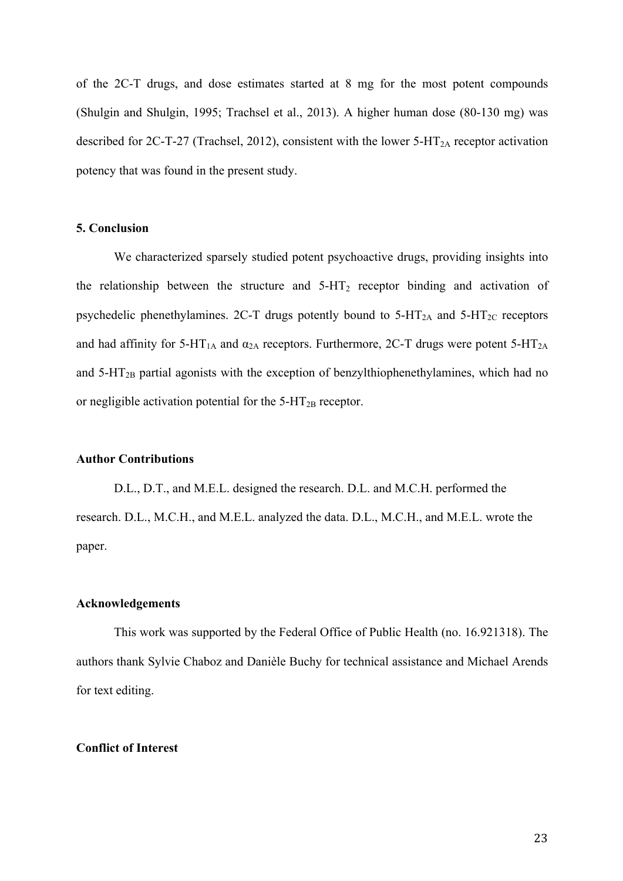of the 2C-T drugs, and dose estimates started at 8 mg for the most potent compounds (Shulgin and Shulgin, 1995; Trachsel et al., 2013). A higher human dose (80-130 mg) was described for 2C-T-27 (Trachsel, 2012), consistent with the lower  $5$ -HT<sub>2A</sub> receptor activation potency that was found in the present study.

# **5. Conclusion**

We characterized sparsely studied potent psychoactive drugs, providing insights into the relationship between the structure and  $5-HT_2$  receptor binding and activation of psychedelic phenethylamines. 2C-T drugs potently bound to  $5-HT_{2A}$  and  $5-HT_{2C}$  receptors and had affinity for 5-HT<sub>1A</sub> and  $\alpha_{2A}$  receptors. Furthermore, 2C-T drugs were potent 5-HT<sub>2A</sub> and  $5-\text{HT}_{2B}$  partial agonists with the exception of benzylthiophenethylamines, which had no or negligible activation potential for the  $5-HT_{2B}$  receptor.

# **Author Contributions**

D.L., D.T., and M.E.L. designed the research. D.L. and M.C.H. performed the research. D.L., M.C.H., and M.E.L. analyzed the data. D.L., M.C.H., and M.E.L. wrote the paper.

#### **Acknowledgements**

This work was supported by the Federal Office of Public Health (no. 16.921318). The authors thank Sylvie Chaboz and Danièle Buchy for technical assistance and Michael Arends for text editing.

#### **Conflict of Interest**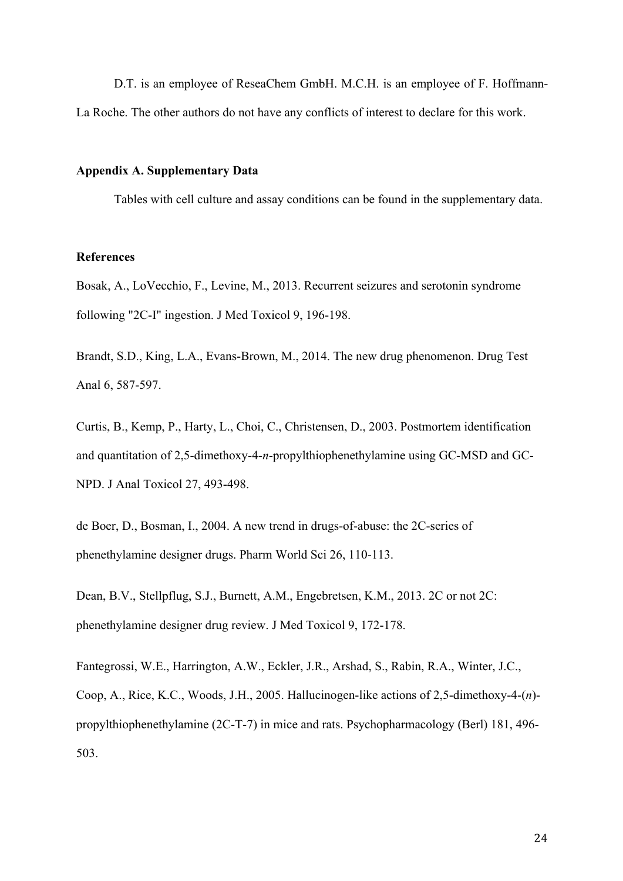D.T. is an employee of ReseaChem GmbH. M.C.H. is an employee of F. Hoffmann-La Roche. The other authors do not have any conflicts of interest to declare for this work.

#### **Appendix A. Supplementary Data**

Tables with cell culture and assay conditions can be found in the supplementary data.

# **References**

Bosak, A., LoVecchio, F., Levine, M., 2013. Recurrent seizures and serotonin syndrome following "2C-I" ingestion. J Med Toxicol 9, 196-198.

Brandt, S.D., King, L.A., Evans-Brown, M., 2014. The new drug phenomenon. Drug Test Anal 6, 587-597.

Curtis, B., Kemp, P., Harty, L., Choi, C., Christensen, D., 2003. Postmortem identification and quantitation of 2,5-dimethoxy-4-*n*-propylthiophenethylamine using GC-MSD and GC-NPD. J Anal Toxicol 27, 493-498.

de Boer, D., Bosman, I., 2004. A new trend in drugs-of-abuse: the 2C-series of phenethylamine designer drugs. Pharm World Sci 26, 110-113.

Dean, B.V., Stellpflug, S.J., Burnett, A.M., Engebretsen, K.M., 2013. 2C or not 2C: phenethylamine designer drug review. J Med Toxicol 9, 172-178.

Fantegrossi, W.E., Harrington, A.W., Eckler, J.R., Arshad, S., Rabin, R.A., Winter, J.C., Coop, A., Rice, K.C., Woods, J.H., 2005. Hallucinogen-like actions of 2,5-dimethoxy-4-(*n*) propylthiophenethylamine (2C-T-7) in mice and rats. Psychopharmacology (Berl) 181, 496- 503.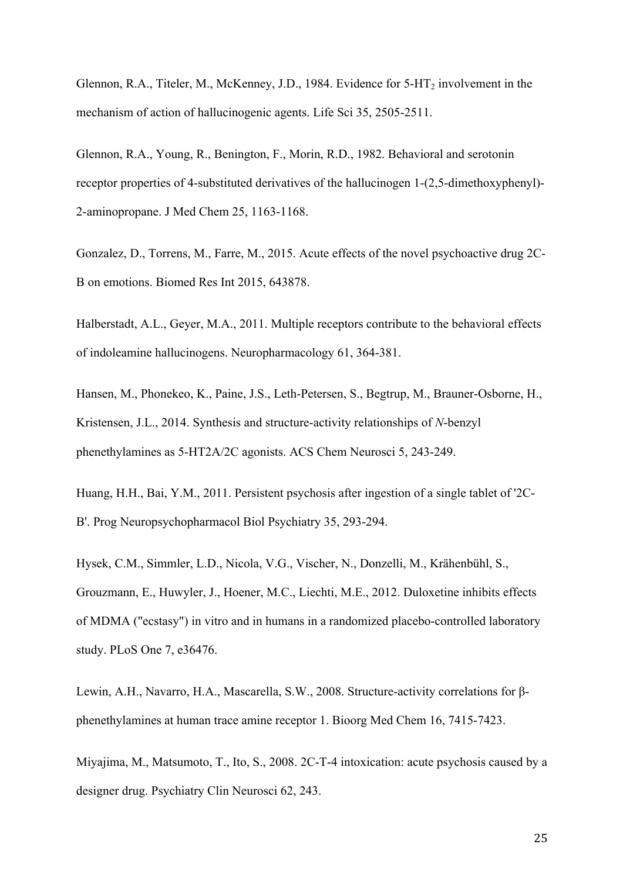Glennon, R.A., Titeler, M., McKenney, J.D., 1984. Evidence for  $5-HT_2$  involvement in the mechanism of action of hallucinogenic agents. Life Sci 35, 2505-2511.

Glennon, R.A., Young, R., Benington, F., Morin, R.D., 1982. Behavioral and serotonin receptor properties of 4-substituted derivatives of the hallucinogen 1-(2,5-dimethoxyphenyl)- 2-aminopropane. J Med Chem 25, 1163-1168.

Gonzalez, D., Torrens, M., Farre, M., 2015. Acute effects of the novel psychoactive drug 2C-B on emotions. Biomed Res Int 2015, 643878.

Halberstadt, A.L., Geyer, M.A., 2011. Multiple receptors contribute to the behavioral effects of indoleamine hallucinogens. Neuropharmacology 61, 364-381.

Hansen, M., Phonekeo, K., Paine, J.S., Leth-Petersen, S., Begtrup, M., Brauner-Osborne, H., Kristensen, J.L., 2014. Synthesis and structure-activity relationships of *N*-benzyl phenethylamines as 5-HT2A/2C agonists. ACS Chem Neurosci 5, 243-249.

Huang, H.H., Bai, Y.M., 2011. Persistent psychosis after ingestion of a single tablet of '2C-B'. Prog Neuropsychopharmacol Biol Psychiatry 35, 293-294.

Hysek, C.M., Simmler, L.D., Nicola, V.G., Vischer, N., Donzelli, M., Krähenbühl, S., Grouzmann, E., Huwyler, J., Hoener, M.C., Liechti, M.E., 2012. Duloxetine inhibits effects of MDMA ("ecstasy") in vitro and in humans in a randomized placebo-controlled laboratory study. PLoS One 7, e36476.

Lewin, A.H., Navarro, H.A., Mascarella, S.W., 2008. Structure-activity correlations for βphenethylamines at human trace amine receptor 1. Bioorg Med Chem 16, 7415-7423.

Miyajima, M., Matsumoto, T., Ito, S., 2008. 2C-T-4 intoxication: acute psychosis caused by a designer drug. Psychiatry Clin Neurosci 62, 243.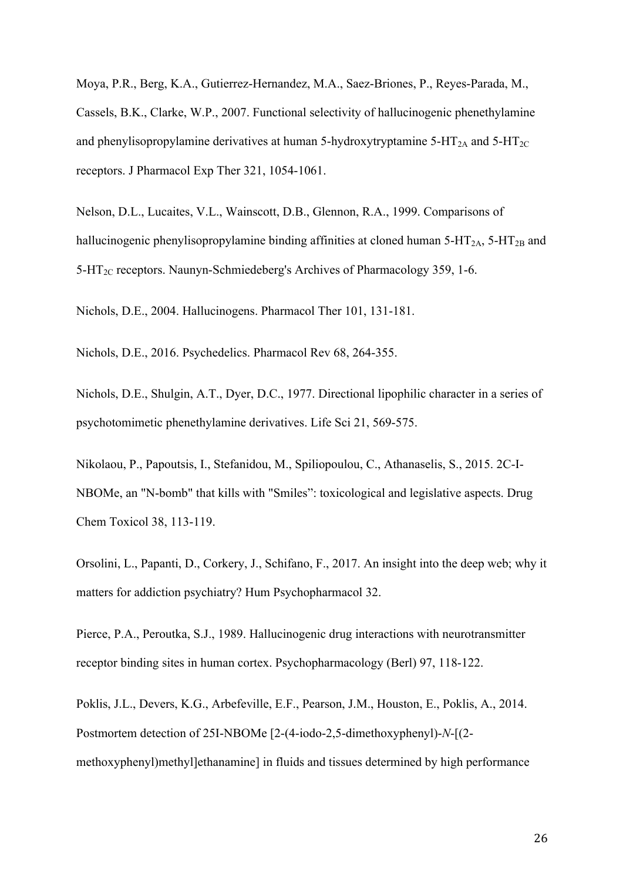Moya, P.R., Berg, K.A., Gutierrez-Hernandez, M.A., Saez-Briones, P., Reyes-Parada, M., Cassels, B.K., Clarke, W.P., 2007. Functional selectivity of hallucinogenic phenethylamine and phenylisopropylamine derivatives at human 5-hydroxytryptamine 5-HT<sub>2A</sub> and 5-HT<sub>2C</sub> receptors. J Pharmacol Exp Ther 321, 1054-1061.

Nelson, D.L., Lucaites, V.L., Wainscott, D.B., Glennon, R.A., 1999. Comparisons of hallucinogenic phenylisopropylamine binding affinities at cloned human  $5-HT_{2A}$ ,  $5-HT_{2B}$  and  $5-\text{HT}_{2C}$  receptors. Naunyn-Schmiedeberg's Archives of Pharmacology 359, 1-6.

Nichols, D.E., 2004. Hallucinogens. Pharmacol Ther 101, 131-181.

Nichols, D.E., 2016. Psychedelics. Pharmacol Rev 68, 264-355.

Nichols, D.E., Shulgin, A.T., Dyer, D.C., 1977. Directional lipophilic character in a series of psychotomimetic phenethylamine derivatives. Life Sci 21, 569-575.

Nikolaou, P., Papoutsis, I., Stefanidou, M., Spiliopoulou, C., Athanaselis, S., 2015. 2C-I-NBOMe, an "N-bomb" that kills with "Smiles": toxicological and legislative aspects. Drug Chem Toxicol 38, 113-119.

Orsolini, L., Papanti, D., Corkery, J., Schifano, F., 2017. An insight into the deep web; why it matters for addiction psychiatry? Hum Psychopharmacol 32.

Pierce, P.A., Peroutka, S.J., 1989. Hallucinogenic drug interactions with neurotransmitter receptor binding sites in human cortex. Psychopharmacology (Berl) 97, 118-122.

Poklis, J.L., Devers, K.G., Arbefeville, E.F., Pearson, J.M., Houston, E., Poklis, A., 2014. Postmortem detection of 25I-NBOMe [2-(4-iodo-2,5-dimethoxyphenyl)-*N*-[(2 methoxyphenyl)methyl]ethanamine] in fluids and tissues determined by high performance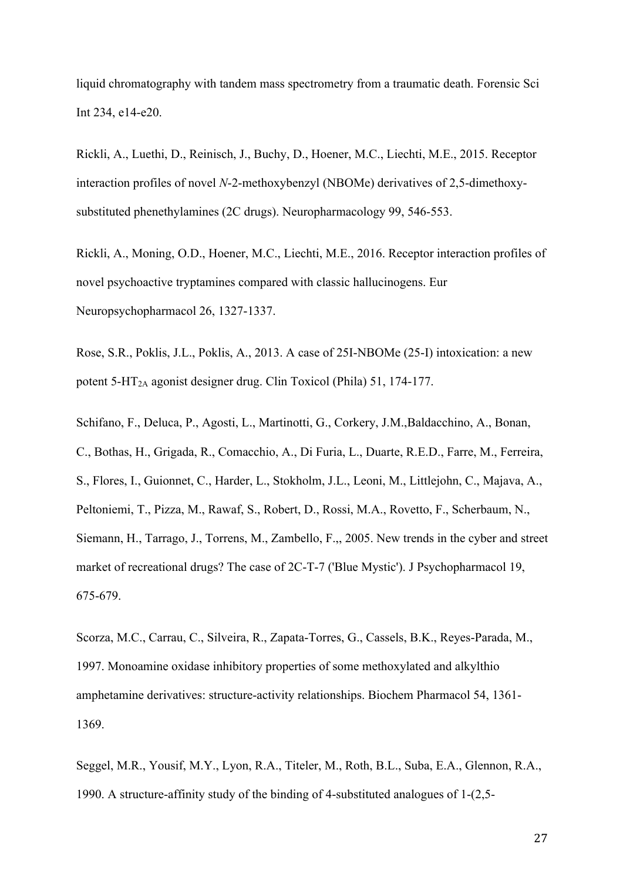liquid chromatography with tandem mass spectrometry from a traumatic death. Forensic Sci Int 234, e14-e20.

Rickli, A., Luethi, D., Reinisch, J., Buchy, D., Hoener, M.C., Liechti, M.E., 2015. Receptor interaction profiles of novel *N*-2-methoxybenzyl (NBOMe) derivatives of 2,5-dimethoxysubstituted phenethylamines (2C drugs). Neuropharmacology 99, 546-553.

Rickli, A., Moning, O.D., Hoener, M.C., Liechti, M.E., 2016. Receptor interaction profiles of novel psychoactive tryptamines compared with classic hallucinogens. Eur Neuropsychopharmacol 26, 1327-1337.

Rose, S.R., Poklis, J.L., Poklis, A., 2013. A case of 25I-NBOMe (25-I) intoxication: a new potent 5-HT2A agonist designer drug. Clin Toxicol (Phila) 51, 174-177.

Schifano, F., Deluca, P., Agosti, L., Martinotti, G., Corkery, J.M.,Baldacchino, A., Bonan, C., Bothas, H., Grigada, R., Comacchio, A., Di Furia, L., Duarte, R.E.D., Farre, M., Ferreira, S., Flores, I., Guionnet, C., Harder, L., Stokholm, J.L., Leoni, M., Littlejohn, C., Majava, A., Peltoniemi, T., Pizza, M., Rawaf, S., Robert, D., Rossi, M.A., Rovetto, F., Scherbaum, N., Siemann, H., Tarrago, J., Torrens, M., Zambello, F.,, 2005. New trends in the cyber and street market of recreational drugs? The case of 2C-T-7 ('Blue Mystic'). J Psychopharmacol 19, 675-679.

Scorza, M.C., Carrau, C., Silveira, R., Zapata-Torres, G., Cassels, B.K., Reyes-Parada, M., 1997. Monoamine oxidase inhibitory properties of some methoxylated and alkylthio amphetamine derivatives: structure-activity relationships. Biochem Pharmacol 54, 1361- 1369.

Seggel, M.R., Yousif, M.Y., Lyon, R.A., Titeler, M., Roth, B.L., Suba, E.A., Glennon, R.A., 1990. A structure-affinity study of the binding of 4-substituted analogues of 1-(2,5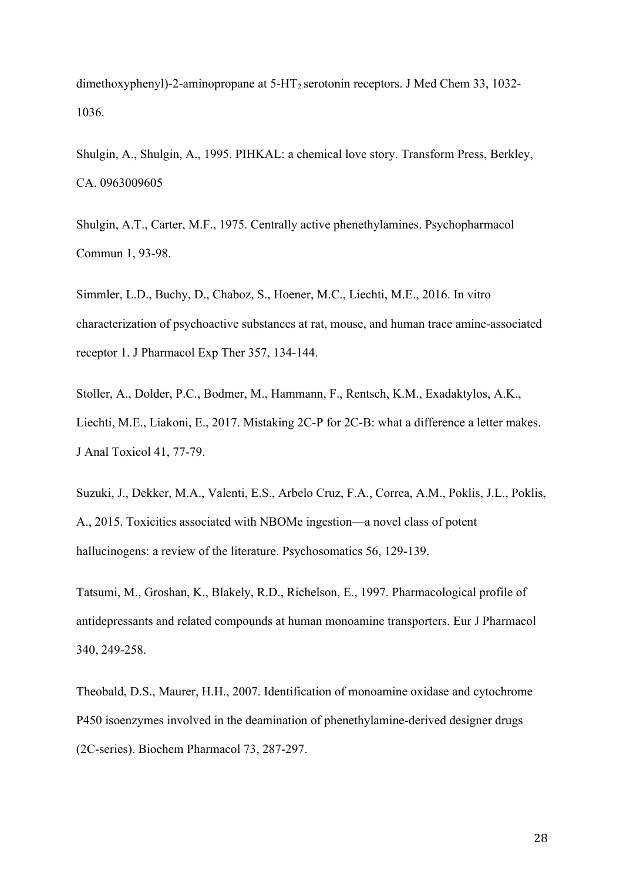dimethoxyphenyl)-2-aminopropane at  $5-HT_2$  serotonin receptors. J Med Chem 33, 1032-1036.

Shulgin, A., Shulgin, A., 1995. PIHKAL: a chemical love story. Transform Press, Berkley, CA. 0963009605

Shulgin, A.T., Carter, M.F., 1975. Centrally active phenethylamines. Psychopharmacol Commun 1, 93-98.

Simmler, L.D., Buchy, D., Chaboz, S., Hoener, M.C., Liechti, M.E., 2016. In vitro characterization of psychoactive substances at rat, mouse, and human trace amine-associated receptor 1. J Pharmacol Exp Ther 357, 134-144.

Stoller, A., Dolder, P.C., Bodmer, M., Hammann, F., Rentsch, K.M., Exadaktylos, A.K., Liechti, M.E., Liakoni, E., 2017. Mistaking 2C-P for 2C-B: what a difference a letter makes. J Anal Toxicol 41, 77-79.

Suzuki, J., Dekker, M.A., Valenti, E.S., Arbelo Cruz, F.A., Correa, A.M., Poklis, J.L., Poklis, A., 2015. Toxicities associated with NBOMe ingestion—a novel class of potent hallucinogens: a review of the literature. Psychosomatics 56, 129-139.

Tatsumi, M., Groshan, K., Blakely, R.D., Richelson, E., 1997. Pharmacological profile of antidepressants and related compounds at human monoamine transporters. Eur J Pharmacol 340, 249-258.

Theobald, D.S., Maurer, H.H., 2007. Identification of monoamine oxidase and cytochrome P450 isoenzymes involved in the deamination of phenethylamine-derived designer drugs (2C-series). Biochem Pharmacol 73, 287-297.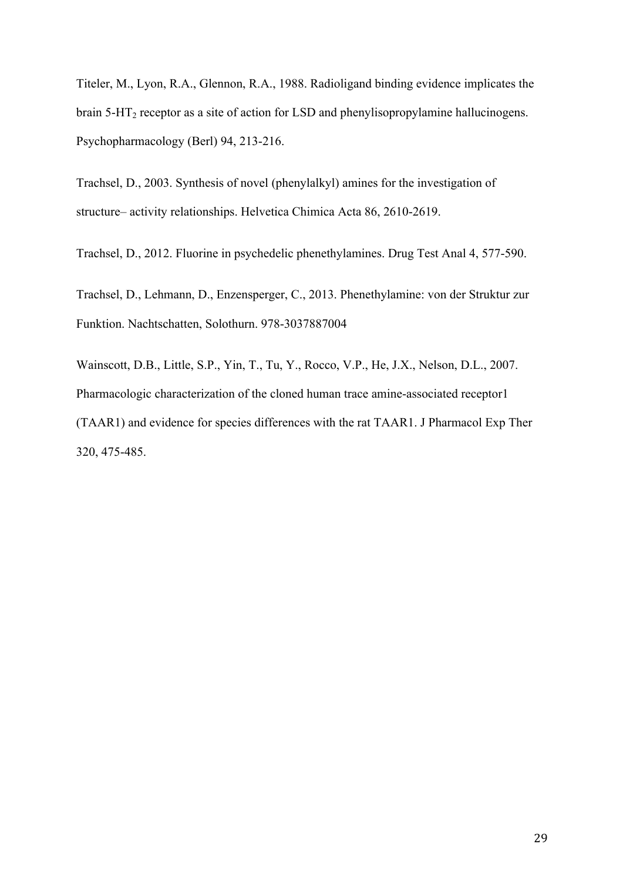Titeler, M., Lyon, R.A., Glennon, R.A., 1988. Radioligand binding evidence implicates the brain  $5-\text{HT}_2$  receptor as a site of action for LSD and phenylisopropylamine hallucinogens. Psychopharmacology (Berl) 94, 213-216.

Trachsel, D., 2003. Synthesis of novel (phenylalkyl) amines for the investigation of structure– activity relationships. Helvetica Chimica Acta 86, 2610-2619.

Trachsel, D., 2012. Fluorine in psychedelic phenethylamines. Drug Test Anal 4, 577-590.

Trachsel, D., Lehmann, D., Enzensperger, C., 2013. Phenethylamine: von der Struktur zur Funktion. Nachtschatten, Solothurn. 978-3037887004

Wainscott, D.B., Little, S.P., Yin, T., Tu, Y., Rocco, V.P., He, J.X., Nelson, D.L., 2007. Pharmacologic characterization of the cloned human trace amine-associated receptor1 (TAAR1) and evidence for species differences with the rat TAAR1. J Pharmacol Exp Ther 320, 475-485.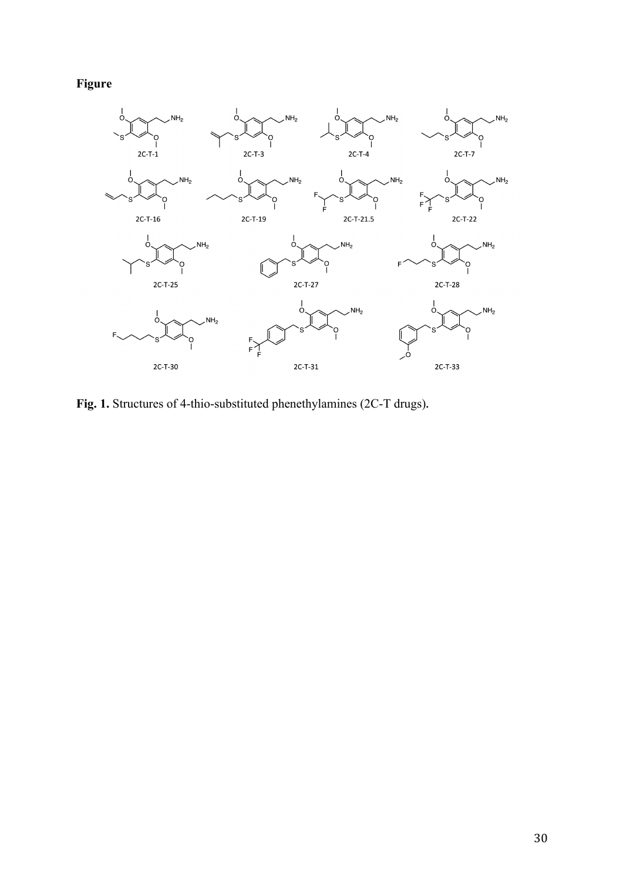# **Figure**



**Fig. 1.** Structures of 4-thio-substituted phenethylamines (2C-T drugs)**.**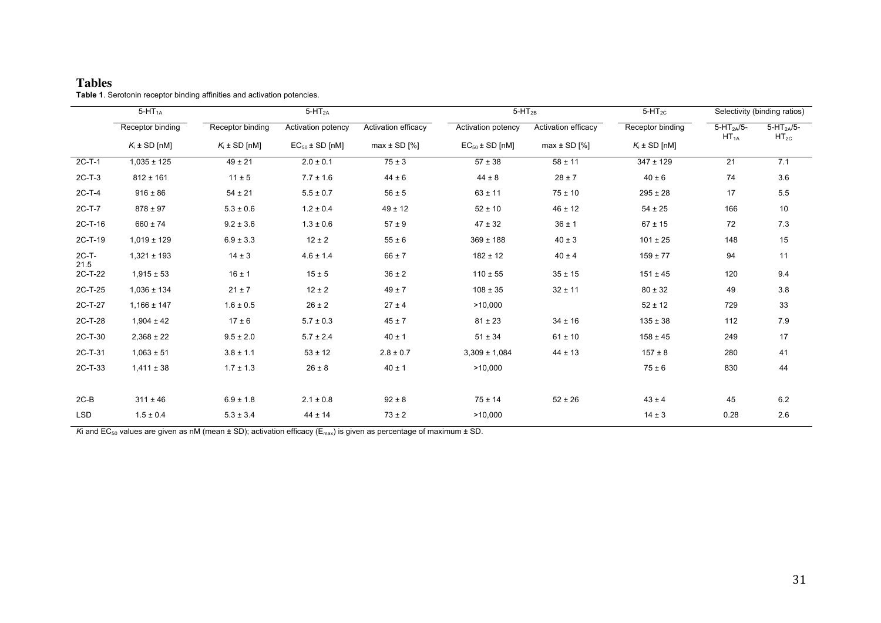#### **Tables Table 1**. Serotonin receptor binding affinities and activation potencies.

|               | $5-HT_{1A}$       | $5-HT2A$          |                     |                     | $5-HT_{2B}$         |                     | $5-HT_{2C}$       | Selectivity (binding ratios) |                             |
|---------------|-------------------|-------------------|---------------------|---------------------|---------------------|---------------------|-------------------|------------------------------|-----------------------------|
|               | Receptor binding  | Receptor binding  | Activation potency  | Activation efficacy | Activation potency  | Activation efficacy | Receptor binding  | $5-HT2A/5-$<br>$HT_{1A}$     | $5-HT_{2A}/5-$<br>$HT_{2C}$ |
|               | $K_i \pm SD$ [nM] | $K_i \pm SD$ [nM] | $EC_{50}$ ± SD [nM] | $max \pm SD$ [%]    | $EC_{50}$ ± SD [nM] | $max \pm SD$ [%]    | $K_i \pm SD$ [nM] |                              |                             |
| $2C-T-1$      | $1,035 \pm 125$   | $49 \pm 21$       | $2.0 \pm 0.1$       | $75 \pm 3$          | $57 \pm 38$         | $58 \pm 11$         | $347 \pm 129$     | $\overline{21}$              | 7.1                         |
| $2C-T-3$      | $812 \pm 161$     | $11 \pm 5$        | $7.7 \pm 1.6$       | $44 \pm 6$          | $44 \pm 8$          | $28 \pm 7$          | $40 \pm 6$        | 74                           | 3.6                         |
| $2C-T-4$      | $916 \pm 86$      | $54 \pm 21$       | $5.5 \pm 0.7$       | $56 \pm 5$          | $63 \pm 11$         | $75 \pm 10$         | $295 \pm 28$      | 17                           | $5.5\,$                     |
| 2C-T-7        | $878 \pm 97$      | $5.3 \pm 0.6$     | $1.2 \pm 0.4$       | $49 \pm 12$         | $52 \pm 10$         | $46 \pm 12$         | $54 \pm 25$       | 166                          | 10                          |
| $2C-T-16$     | $660 \pm 74$      | $9.2 \pm 3.6$     | $1.3 \pm 0.6$       | $57 \pm 9$          | $47 \pm 32$         | $36 \pm 1$          | $67 \pm 15$       | 72                           | 7.3                         |
| 2C-T-19       | $1,019 \pm 129$   | $6.9 \pm 3.3$     | $12 \pm 2$          | $55 \pm 6$          | $369 \pm 188$       | $40 \pm 3$          | $101 \pm 25$      | 148                          | 15                          |
| 2C-T-<br>21.5 | $1,321 \pm 193$   | $14 \pm 3$        | $4.6 \pm 1.4$       | $66 \pm 7$          | $182 \pm 12$        | $40 \pm 4$          | $159 \pm 77$      | 94                           | 11                          |
| 2C-T-22       | $1,915 \pm 53$    | $16 \pm 1$        | $15 \pm 5$          | $36\pm2$            | $110 \pm 55$        | $35 \pm 15$         | $151 \pm 45$      | 120                          | 9.4                         |
| 2C-T-25       | $1,036 \pm 134$   | $21 \pm 7$        | $12 \pm 2$          | $49 \pm 7$          | $108 \pm 35$        | $32 \pm 11$         | $80 \pm 32$       | 49                           | 3.8                         |
| 2C-T-27       | $1,166 \pm 147$   | $1.6 \pm 0.5$     | $26 \pm 2$          | $27 \pm 4$          | >10,000             |                     | $52 \pm 12$       | 729                          | 33                          |
| 2C-T-28       | $1,904 \pm 42$    | $17 \pm 6$        | $5.7 \pm 0.3$       | $45 \pm 7$          | $81 \pm 23$         | $34 \pm 16$         | $135 \pm 38$      | 112                          | 7.9                         |
| 2C-T-30       | $2,368 \pm 22$    | $9.5 \pm 2.0$     | $5.7 \pm 2.4$       | $40 \pm 1$          | $51 \pm 34$         | $61 \pm 10$         | $158 \pm 45$      | 249                          | 17                          |
| 2C-T-31       | $1,063 \pm 51$    | $3.8 \pm 1.1$     | $53 \pm 12$         | $2.8 \pm 0.7$       | $3,309 \pm 1,084$   | $44 \pm 13$         | $157 \pm 8$       | 280                          | 41                          |
| 2C-T-33       | $1,411 \pm 38$    | $1.7 \pm 1.3$     | $26 \pm 8$          | $40 \pm 1$          | >10,000             |                     | $75 \pm 6$        | 830                          | 44                          |
|               |                   |                   |                     |                     |                     |                     |                   |                              |                             |
| $2C-B$        | $311 \pm 46$      | $6.9 \pm 1.8$     | $2.1 \pm 0.8$       | $92 \pm 8$          | $75 \pm 14$         | $52 \pm 26$         | $43 \pm 4$        | 45                           | 6.2                         |
| <b>LSD</b>    | $1.5 \pm 0.4$     | $5.3 \pm 3.4$     | $44 \pm 14$         | $73 \pm 2$          | >10,000             |                     | $14 \pm 3$        | 0.28                         | $2.6\,$                     |

*K*i and  $EC_{50}$  values are given as nM (mean  $\pm$  SD); activation efficacy ( $E_{\text{max}}$ ) is given as percentage of maximum  $\pm$  SD.